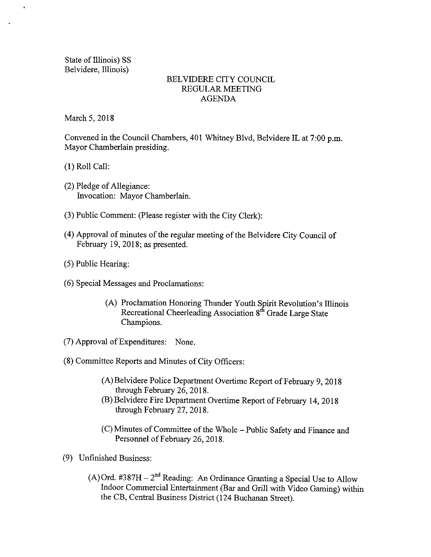State of Illinois) SS Belvidere, Illinois)

 $\mathbf{r}$ 

## BELVIDERE CITY COUNCIL REGULAR MEETING AGENDA

March 5, 2018

Convened in the Council Chambers, 401 Whitney Blvd, Belvidere IL at 7:00 p.m. Mayor Chamberlain presiding.

1) Roll Call:

- 2) Pledge of Allegiance: Invocation: Mayor Chamberlain.
- 3) Public Comment: ( Please register with the City Clerk):
- 4) Approval of minutes of the regular meeting of the Belvidere City Council of February 19, 2018; as presented.
- 5) Public Hearing:
- 6) Special Messages and Proclamations:
	- (A) Proclamation Honoring Thunder Youth Spirit Revolution's Illinois Recreational Cheerleading Association 8<sup>th</sup> Grade Large State Champions.
- 7) Approval ofExpenditures: None.
- 8) Committee Reports and Minutes of City Officers:
	- A)Belvidere Police Department Overtime Report of February 9, 2018 through February 26, 2018.
	- B) Belvidere Fire Department Overtime Report of February 14, 2018 through February 27, 2018.
	- C) Minutes of Committee of the Whole— Public Safety and Finance and Personnel of February 26, 2018.
- 9) Unfinished Business:
	- A) Ord.  $\#387H 2^{nd}$  Reading: An Ordinance Granting a Special Use to Allow Indoor Commercial Entertainment( Bar and Grill with Video Gaming) within the CB, Central Business District( 124 Buchanan Street).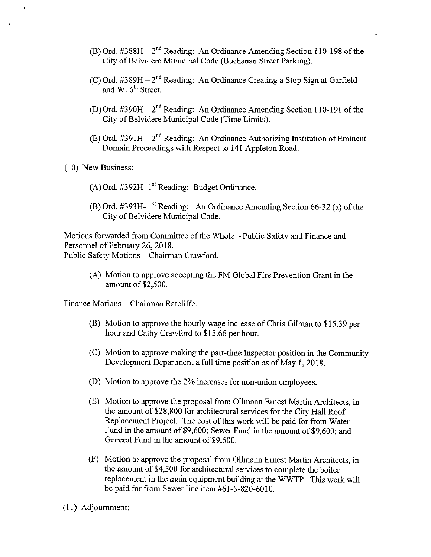- B) Ord.  $\#388H 2<sup>nd</sup>$  Reading: An Ordinance Amending Section 110-198 of the City of Belvidere Municipal Code ( Buchanan Street Parking).
- C) Ord.  $\#389H 2^{\text{nd}}$  Reading: An Ordinance Creating a Stop Sign at Garfield and W. 6<sup>th</sup> Street.
- D) Ord. #390H 2<sup>nd</sup> Reading: An Ordinance Amending Section 110-191 of the City of Belvidere Municipal Code (Time Limits).
- E) Ord. #391H 2<sup>nd</sup> Reading: An Ordinance Authorizing Institution of Eminent Domain Proceedings with Respect to 141 Appleton Road.
- 10) New Business:
	- $(A)$  Ord. #392H- 1<sup>st</sup> Reading: Budget Ordinance.
	- B) Ord. #393H- 1<sup>st</sup> Reading: An Ordinance Amending Section 66-32 (a) of the City of Belvidere Municipal Code.

Motions forwarded from Committee of the Whole— Public Safety and Finance and Personnel of February 26, 2018. Public Safety Motions— Chairman Crawford.

A) Motion to approve accepting the FM Global Fire Prevention Grant in the amount of \$2,500.

Finance Motions— Chairman Ratcliffe:

- B) Motion to approve the hourly wage increase of Chris Gilman to \$ 15. 39 per hour and Cathy Crawford to \$15.66 per hour.
- C) Motion to approve making the part- time Inspector position in the Community Development Department <sup>a</sup> full time position as of May 1, 2018.
- D) Motion to approve the 2% increases for non-union employees.
- E) Motion to approve the proposal from 011mann Ernest Martin Architects, in the amount of\$28, 800 for architectural services for the City Hall Roof Replacement Project. The cost of this work will be paid for from Water Fund in the amount of \$9,600; Sewer Fund in the amount of \$9,600; and General Fund in the amount of \$9,600.
- F) Motion to approve the proposal from Olimann Ernest Martin Architects, in the amount of \$4,500 for architectural services to complete the boiler replacement in the main equipment building at the W WTP. This work will be paid for from Sewer line item  $#61 - 5 - 820 - 6010$ .
- 11) Adjournment: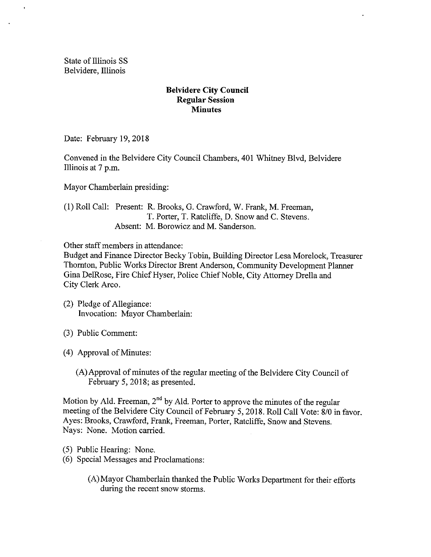State of Illinois SS Belvidere, Illinois

### Belvidere City Council Regular Session **Minutes**

Date: February 19, 2018

Convened in the Belvidere City Council Chambers, 401 Whitney Blvd, Belvidere Illinois at <sup>7</sup> p.m.

Mayor Chamberlain presiding:

1) Roll Call: Present: R. Brooks, G. Crawford, W. Frank, M. Freeman, T. Porter, T. Ratcliffe, D. Snow and C. Stevens. Absent: M. Borowicz and M. Sanderson.

Other staff members in attendance:

Budget and Finance Director Becky Tobin, Building Director Lesa Morelock, Treasurer Thornton, Public Works Director Brent Anderson, Community Development Planner Gina DelRose, Fire Chief Hyser, Police Chief Noble, City Attorney Drella and City Clerk Arco.

- 2) Pledge of Allegiance: Invocation: Mayor Chamberlain:
- 3) Public Comment:
- 4) Approval of Minutes:
	- A) Approval of minutes of the regular meeting of the Belvidere City Council of February 5, 2018; as presented.

Motion by Ald. Freeman,  $2<sup>nd</sup>$  by Ald. Porter to approve the minutes of the regular meeting of the Belvidere City Council of February 5, 2018. Roll Call Vote: 8/0 in favor. Ayes: Brooks, Crawford, Frank, Freeman, Porter, Ratcliffe, Snow and Stevens. Nays: None. Motion carried.

- 5) Public Hearing: None.
- 6) Special Messages and Proclamations:
	- A) Mayor Chamberlain thanked the Public Works Department for their efforts during the recent snow storms.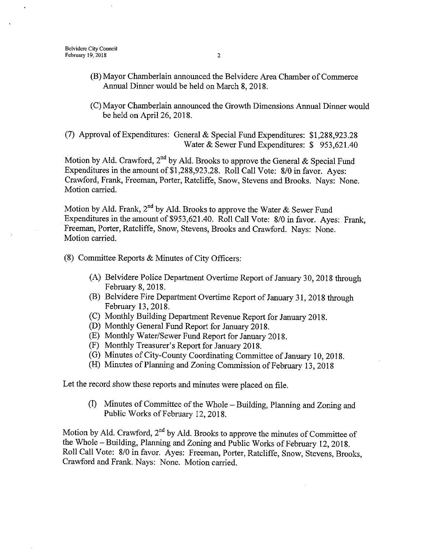- B) Mayor Chamberlain announced the Belvidere Area Chamber of Commerce Annual Dinner would be held on March 8, 2018.
- C) Mayor Chamberlain announced the Growth Dimensions Annual Dinner would be held on April 26, 2018.

7) Approval ofExpenditures: General & Special Fund Expenditures: \$ 1, 288,923. 28 Water & Sewer Fund Expenditures: \$953,621.40

Motion by Ald. Crawford, 2<sup>nd</sup> by Ald. Brooks to approve the General & Special Fund Expenditures in the amount of \$1,288,923.28. Roll Call Vote: 8/0 in favor. Ayes: Crawford, Frank, Freeman, Porter, Ratcliffe, Snow, Stevens and Brooks. Nays: None. Motion carried.

Motion by Ald. Frank,  $2<sup>nd</sup>$  by Ald. Brooks to approve the Water & Sewer Fund Expenditures in the amount of \$953, 621. 40. Roll Call Vote: 8/0 in favor. Ayes: Frank, Freeman, Porter, Ratcliffe, Snow, Stevens, Brooks and Crawford. Nays: None. Motion carried.

 $(8)$  Committee Reports & Minutes of City Officers:

- A) Belvidere Police Department Overtime Report of January 30, 2018 through February 8, 2018.
- B) Belvidere Fire Department Overtime Report of January 31, 2018 through February 13, 2018.
- C) Monthly Building Department Revenue Report for January 2018.
- D) Monthly General Fund Report for January 2018.
- E) Monthly Water/Sewer Fund Report for January 2018.
- (F) Monthly Treasurer's Report for January 2018.
- G) Minutes of City- County Coordinating Committee of January 10, 2018.
- (H) Minutes of Planning and Zoning Commission of February 13, 2018

Let the record show these reports and minutes were placed on file.

I) Minutes of Committee of the Whole— Building, Planning and Zoning and Public Works of February 12, 2018.

Motion by Ald. Crawford, 2<sup>nd</sup> by Ald. Brooks to approve the minutes of Committee of the Whole— Building, Planning and Zoning and Public Works of February 12, 2018. Roll Call Vote: 8/0 in favor. Ayes: Freeman, Porter, Ratcliffe, Snow, Stevens, Brooks, Crawford and Frank. Nays: None. Motion carried.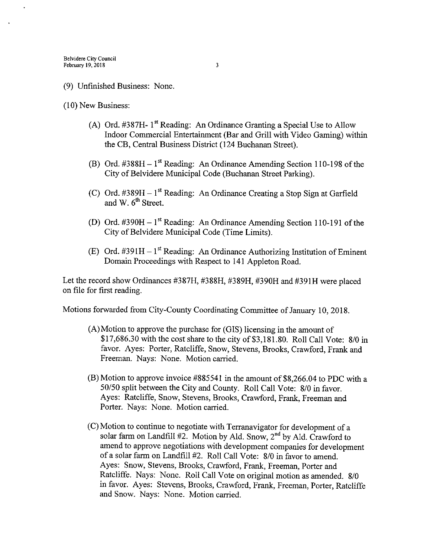### 9) Unfinished Business: None.

10) New Business:

- (A) Ord.  $\#387H 1$ <sup>st</sup> Reading: An Ordinance Granting a Special Use to Allow Indoor Commercial Entertainment( Bar and Grill with Video Gaming) within the CB, Central Business District ( 124 Buchanan Street).
- B) Ord.  $\#388H 1^{\text{st}}$  Reading: An Ordinance Amending Section 110-198 of the City of Belvidere Municipal Code ( Buchanan Street Parking).
- C) Ord.  $\#389H 1^{\text{st}}$  Reading: An Ordinance Creating a Stop Sign at Garfield and W.  $6<sup>th</sup>$  Street.
- (D) Ord.  $\text{\#390H} 1^{\text{st}}$  Reading: An Ordinance Amending Section 110-191 of the City of Belvidere Municipal Code (Time Limits).
- E) Ord.  $\text{\#391H}-1^{\text{st}}$  Reading: An Ordinance Authorizing Institution of Eminent Domain Proceedings with Respect to 141 Appleton Road.

Let the record show Ordinances #387H, #388H, #389H, #390H and #391H were placed on file for first reading.

Motions forwarded from City-County Coordinating Committee of January 10, 2018.

- A) Motion to approve the purchase for ( GIS) licensing in the amount of \$17,686.30 with the cost share to the city of  $$3,181.80$ . Roll Call Vote:  $8/0$  in favor. Ayes: Porter, Ratcliffe, Snow, Stevens, Brooks, Crawford, Frank and Freeman. Nays: None. Motion carried.
- $(B)$  Motion to approve invoice #885541 in the amount of \$8,266.04 to PDC with a 50/50 split between the City and County. Roll Call Vote: 8/0 in favor. Ayes: Ratcliffe, Snow, Stevens, Brooks, Crawford, Frank, Freeman and Porter. Nays: None. Motion carried.
- C) Motion to continue to negotiate with Terranavigator for development of a solar farm on Landfill  $#2$ . Motion by Ald. Snow,  $2<sup>nd</sup>$  by Ald. Crawford to amend to approve negotiations with development companies for development of a solar farm on Landfill #2. Roll Call Vote: 8/0 in favor to amend. Ayes: Snow, Stevens, Brooks, Crawford, Frank, Freeman, Porter and Ratcliffe. Nays: None. Roll Call Vote on original motion as amended. 8/0 in favor. Ayes: Stevens, Brooks, Crawford, Frank, Freeman, Porter, Ratcliffe and Snow. Nays: None. Motion carried.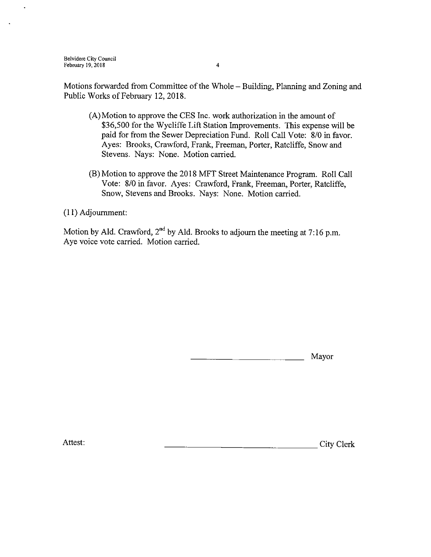Motions forwarded from Committee of the Whole— Building, Planning and Zoning and Public Works of February 12, 2018.

- A) Motion to approve the CES Inc. work authorization in the amount of 36,500 for the Wycliffe Lift Station Improvements. This expense will be paid for from the Sewer Depreciation Fund. Roll Call Vote: 8/0 in favor. Ayes: Brooks, Crawford, Frank, Freeman, Porter, Ratcliffe, Snow and Stevens. Nays: None. Motion carried.
- B) Motion to approve the 2018 MFT Street Maintenance Program. Roll Call Vote: 8/0 in favor. Ayes: Crawford, Frank, Freeman, Porter, Ratcliffe, Snow, Stevens and Brooks. Nays: None. Motion carried.

11) Adjournment:

Motion by Ald. Crawford, 2<sup>nd</sup> by Ald. Brooks to adjourn the meeting at 7:16 p.m. Aye voice vote carried. Motion carried.

Mayor

Attest: City Clerk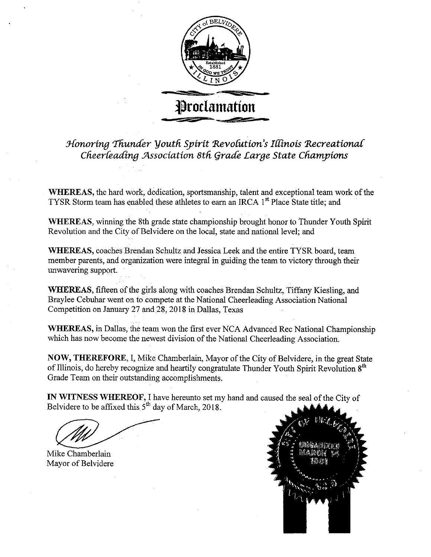

Honoring Thunder Youth Spirit Revolution's Illinois Recreational Cheerleading Association 8th Grade Large State Champions

WHEREAS, the hard work, dedication, sportsmanship, talent and exceptional team work of the TYSR Storm team has enabled these athletes to earn an IRCA 1<sup>st</sup> Place State title; and

WHEREAS, winning the 8th grade state championship brought honor to Thunder Youth Spirit Revolution and the City of Belvidere on the local, state and national level; and

WHEREAS, coaches Brendan Schultz and Jessica Leek and the entire TYSR board, team member parents, and organization were integral in guiding the team to victory through their unwavering support.

WHEREAS, fifteen of the girls along with coaches Brendan Schultz, Tiffany Kiesling, and Braylee Cebuhar went on to compete at the National Cheerleading Association National Competition on January 27 and 28, 2018 in Dallas, Texas

WHEREAS, in Dallas, the team won the first ever NCA Advanced Rec National Championship which has now become the newest division of the National Cheerleading Association.

NOW, THEREFORE, I, Mike Chamberlain, Mayor of the City of Belvidere, in the great State of Illinois, do hereby recognize and heartily congratulate Thunder Youth Spirit Revolution 8<sup>th</sup> Grade Team on their outstanding accomplishments.

IN WITNESS WHEREOF, I have hereunto set my hand and caused the seal of the City of Belvidere to be affixed this  $5<sup>th</sup>$  day of March, 2018.

Mike Chamberlain Mayor of Belvidere

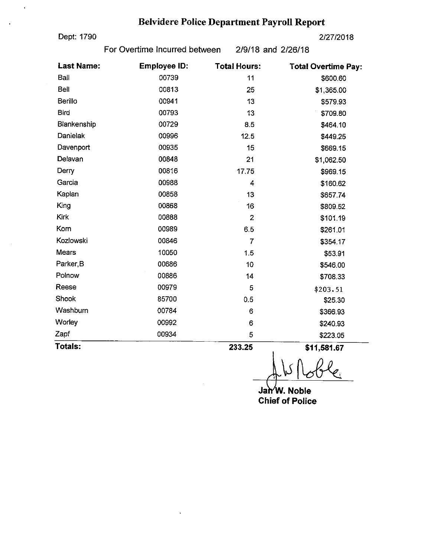# Belvidere Police Department Payroll Report

Dept: 1790 2/27/2018

For Overtime Incurred between 2/9/18 and 2/26/18

| <b>Last Name:</b> | <b>Employee ID:</b> | <b>Total Hours:</b> | <b>Total Overtime Pay:</b> |
|-------------------|---------------------|---------------------|----------------------------|
| Ball              | 00739               | 11                  | \$600.60                   |
| <b>Bell</b>       | 00813               | 25                  | \$1,365.00                 |
| Berillo           | 00941               | 13                  | \$579.93                   |
| <b>Bird</b>       | 00793               | 13                  | \$709.80                   |
| Blankenship       | 00729               | 8.5                 | \$464.10                   |
| Danielak          | 00996               | 12.5                | \$449.25                   |
| Davenport         | 00935               | 15                  | \$669.15                   |
| Delavan           | 00848               | 21                  | \$1,062.50                 |
| Derry             | 00816               | 17.75               | \$969.15                   |
| Garcia            | 00988               | 4                   | \$160.62                   |
| Kaplan            | 00858               | 13                  | \$657.74                   |
| King              | 00868               | 16                  | \$809.52                   |
| Kirk              | 00888               | $\overline{2}$      | \$101.19                   |
| Korn              | 00989               | 6.5                 | \$261.01                   |
| Kozlowski         | 00846               | $\overline{7}$      | \$354.17                   |
| Mears             | 10050               | 1.5                 | \$53.91                    |
| Parker, B         | 00686               | 10                  | \$546.00                   |
| Polnow            | 00886               | 14                  | \$708.33                   |
| Reese             | 00979               | 5                   | \$203.51                   |
| Shook             | 85700               | 0.5                 | \$25.30                    |
| Washburn          | 00784               | 6                   | \$366.93                   |
| Worley            | 00992               | 6                   | \$240.93                   |
| Zapf              | 00934               | 5                   | \$223.05                   |
| Totals:           |                     | 233.25              | \$11,581.67                |

l,

1 Y-2

Jan'W. Noble Chief of Police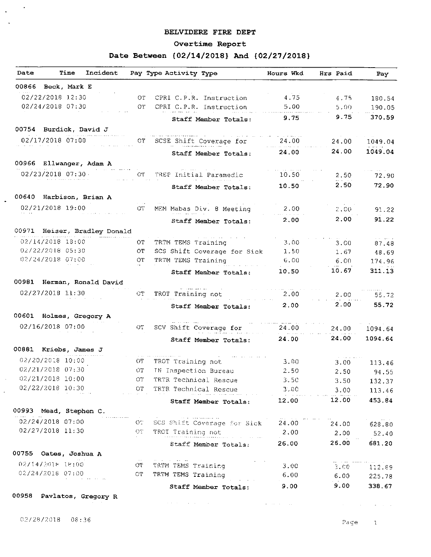#### BELVIDERE FIRE DEPT

### Overtime Report

# Date Between { 02/14/2018} And { 02/27/2018}

| Date                         | Time                     | Incident |                                | Pay Type Activity Type                               | Hours Wkd   | Hrs Paid   | Pay              |
|------------------------------|--------------------------|----------|--------------------------------|------------------------------------------------------|-------------|------------|------------------|
| 00866 Beck, Mark E           |                          |          |                                |                                                      |             |            |                  |
| 02/22/2018 12:30             |                          |          | ΟT                             | CPRI C.P.R. Instruction                              | 4.75        | 4.75       | 180.54           |
| 02/24/2018 07:30             |                          |          | OT                             | CPRI C.P.R. Instruction                              | 5.00        | 5.00       | 190.05           |
|                              |                          |          |                                | Staff Member Totals:                                 | 9.75        | 9.75       | 370.59           |
| 00754 Burdick, David J       |                          |          |                                |                                                      |             |            |                  |
| 02/17/2018 07:00             |                          |          | ОT                             | SCSE Shift Coverage for                              | 24.00       | 24.00      | 1049.04          |
|                              |                          |          |                                | Staff Member Totals:                                 | 24.00       | 24.00      | 1049.04          |
| 00966 Ellwanger, Adam A      |                          |          |                                |                                                      |             |            |                  |
| 02/23/2018 07:30             |                          |          | OТ                             | TREP Initial Paramedic                               | 10.50       | 2.50       | 72.90            |
|                              |                          |          |                                | Staff Member Totals:                                 | 10.50       | 2.50       | 72.90            |
| 00640 Harbison, Brian A      |                          |          |                                |                                                      |             |            |                  |
| 02/21/2018 19:00             |                          |          |                                |                                                      |             |            |                  |
|                              |                          |          | OТ                             | MEM Mabas Div. 8 Meeting                             | 2.00        | 2,00       | 91.22            |
|                              |                          |          |                                | Staff Member Totals:                                 | 2.00        | 2.00       | 91.22            |
| 00971 Heiser, Bradley Donald |                          |          |                                |                                                      |             |            | والتواصر         |
| 02/14/2018 18:00             |                          |          | OT.                            | TRTM TEMS Training                                   | 3.00        | 3.00       | 87.48            |
| 02/22/2018 05:30             |                          |          | ОT                             | SCS Shift Coverage for Sick                          | 1.50        | 1.67       | 48.69            |
| 02/24/2018 07:00             |                          |          | ОT                             | TRTM TEMS Training                                   | 6.00        | 6.00       | 174.96           |
|                              |                          |          |                                | Staff Member Totals:                                 | 10,50       | 10.67      | 311.13           |
| 00981 Herman, Ronald David   |                          |          |                                |                                                      |             |            |                  |
| 02/27/2018 11:30             |                          |          | ОT                             | TROT Training not                                    | 2,00        | 2.00       | 55.72            |
|                              |                          |          |                                | Staff Member Totals:                                 | 2.00        | 2.00       | 55.72            |
| 00601 Holmes, Gregory A      |                          |          |                                |                                                      |             |            |                  |
| 02/16/2018 07:00             |                          |          | OТ                             | SCV Shift Coverage for                               | 24.00       | 24.00      | 1094.64          |
|                              |                          |          |                                | Staff Member Totals:                                 | 24.00       | 24.00      | 1094.64          |
| 00881 Kriebs, James J        |                          |          |                                |                                                      |             |            |                  |
| 02/20/2018 10:00             |                          |          | ŬТ                             | TROT Training not                                    | $3.00 -$    | 3.00       | 113.46           |
| 02/21/2018 07:30             |                          |          | OТ                             | IN Inspection Bureau                                 | 2.50        | 2.50       | 94.55            |
| 02/21/2018 10:00             |                          |          | OT.                            | TRTR Technical Rescue                                | $-3.50$     | 3.50       | 132.37           |
| 02/22/2018 10:30             | a shekara ta 1990        |          | OT                             | TRTR Technical Rescue                                | 3.00        | 3.00       | 113.46           |
|                              |                          |          |                                | Staff Member Totals:                                 | 12.00       | 12.00      | 453.84           |
| 00993 Mead, Stephen C.       |                          |          |                                |                                                      |             |            |                  |
| 02/24/2018 07:00             |                          |          | $\mathbf{C}^{\prime\prime}$    | sa la construcción de<br>SCS Shift Coverage for Sick | $24.00$ $2$ | 24.00      | 628.80           |
| 02/27/2018 11:30             |                          |          | OT .                           | TROT Training not                                    | 2.00        | 2.00       | 52.40            |
|                              |                          |          |                                | Staff Member Totals:                                 | 26.00       | 26.00      | 681.20           |
| 00755 Oates, Joshua A        |                          |          |                                |                                                      |             |            |                  |
| 0271472018 18:00             |                          |          | <b>Contractor</b><br>$\circ$ r | and a strategic and state<br>TRTM TEMS Training      | 3.00        | $3.00 - 1$ |                  |
| 02/24/2018 07:00             |                          |          | $\mathcal{O}^{\prime}\Gamma$   | TRTM TEMS Training                                   | 6.00        | 6.00       | 112.89<br>225.78 |
|                              | the company of the state |          |                                | Staff Member Totals:                                 | 9.00        | $9.00 -$   | 338.67           |
| 00958 Pavlatos, Gregory R    |                          |          |                                |                                                      |             |            |                  |
|                              |                          |          |                                |                                                      |             |            |                  |

 $02/28/2018$  08:36

 $\sim$  $\frac{1}{2}$  .  $\mathcal{A}^{\pm}$ 

 $\ddot{\bullet}$ 

 $\bar{\beta}$  $\ddot{\phantom{0}}$ 

Page 1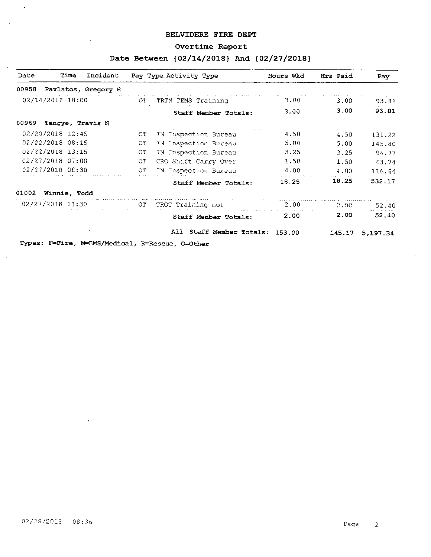### BELVIDERE FIRE DEPT

# Overtime Report

# Date Between { 02/14/2018} And { 02/27/2018}

| Time<br>Incident<br>Date                        |     | Pay Type Activity Type   | Hours Wkd | Hrs Paid | Pay      |
|-------------------------------------------------|-----|--------------------------|-----------|----------|----------|
| 00958<br>Pavlatos, Gregory R                    |     |                          |           |          |          |
| 02/14/2018 18:00                                | OT. | TRTM TEMS Training       | 3.00      | 3.00     | 93.81    |
|                                                 |     | Staff Member Totals:     | 3.00      | 3.00     | 93.81    |
| Tangye, Travis N<br>00969                       |     |                          |           |          |          |
| 02/20/2018 12:45                                | OТ  | IN Inspection Bureau     | 4.50      | 4.50     | 131.22   |
| 02/22/2018 08:15                                | ОT  | IN Inspection Bureau     | 5.00      | 5.00     | 145.80   |
| 02/22/2018 13:15                                | ОT  | IN Inspection Bureau     | 3.25      | 3.25     | 94.77    |
| 02/27/2018 07:00                                | ОT  | CRO Shift Carry Over     | 1.50      | 1.50     | 43 74    |
| 02/27/2018 08:30                                | OT. | IN Inspection Bureau     | 4.00      | 4.00     | 116.64   |
|                                                 |     | Staff Member Totals:     | 18.25     | 18.25    | 532.17   |
| 01002<br>Winnie, Todd                           |     |                          |           |          |          |
| 02/27/2018 11:30                                | OT. | TROT Training not        | 2.00      | 2.00     | 52.40    |
|                                                 |     | Staff Member Totals:     | 2.00      | 2.00     | 52.40    |
|                                                 |     | All Staff Member Totals: | 153.00    | 145.17   | 5.197.34 |
| Types: F=Fire, M=EMS/Medical, R=Rescue, O=Other |     |                          |           |          |          |

 $\cdot$ 

 $\ddot{\phantom{a}}$ 

 $\bar{L}$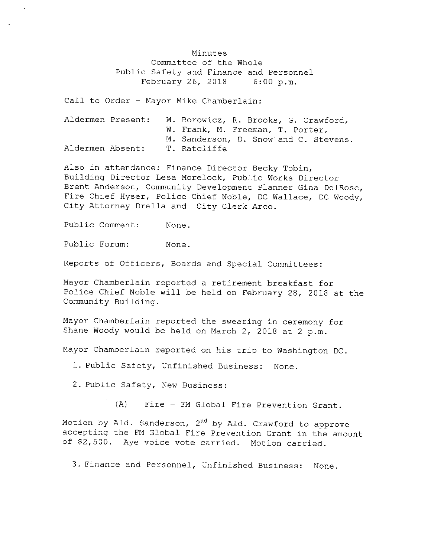Minutes Committee of the Whole Public Safety and Finance and Personnel February 26, 2018 6:00 p.m.

Call to Order - Mayor Mike Chamberlain:

|                  | Aldermen Present: | M. Borowicz, R. Brooks, G. Crawford,  |  |  |  |
|------------------|-------------------|---------------------------------------|--|--|--|
|                  |                   | W. Frank, M. Freeman, T. Porter,      |  |  |  |
|                  |                   | M. Sanderson, D. Snow and C. Stevens. |  |  |  |
| Aldermen Absent: |                   | T. Ratcliffe                          |  |  |  |

Also in attendance: Finance Director Becky Tobin, Building Director Lesa Morelock, Public Works Director Brent Anderson, Community Development Planner Gina DelRose, Fire Chief Hyser, Police Chief Noble, DC Wallace, DC Woody, City Attorney Drella and City Clerk Arco.

Public Comment: None.

Public Forum: None.

Reports of Officers, Boards and Special Committees :

Mayor Chamberlain reported <sup>a</sup> retirement breakfast for Police Chief Noble will be held on February 28, 2018 at the Community Building.

Mayor Chamberlain reported the swearing in ceremony for Shane Woody would be held on March 2, 2018 at 2 p.m.

Mayor Chamberlain reported on his trip to Washington DC.

1. Public Safety, Unfinished Business: None.

2. Public Safety, New Business:

A) Fire - FM Global Fire Prevention Grant .

Motion by Ald. Sanderson, 2<sup>nd</sup> by Ald. Crawford to approve accepting the FM Global Fire Prevention Grant in the amount of \$2,500. Aye voice vote carried. Motion carried.

3. Finance and Personnel, Unfinished Business: None.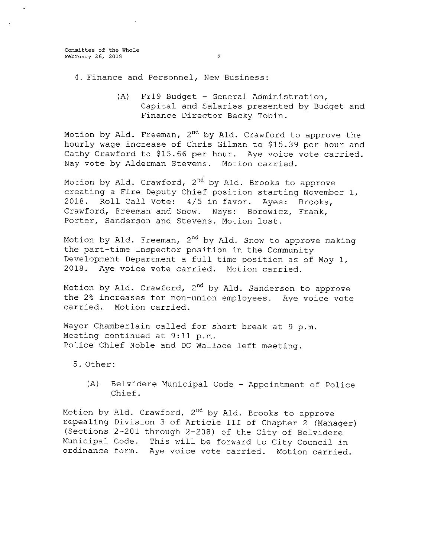- 4 . Finance and Personnel, New Business :
	- (A) FY19 Budget General Administration, Capital and Salaries presented by Budget and Finance Director Becky Tobin.

Motion by Ald. Freeman, 2<sup>nd</sup> by Ald. Crawford to approve the hourly wage increase of Chris Gilman to \$15. 39 per hour and Cathy Crawford to \$15.66 per hour. Aye voice vote carried. Nay vote by Alderman Stevens. Motion carried.

Motion by Ald. Crawford, 2<sup>nd</sup> by Ald. Brooks to approve creating <sup>a</sup> Fire Deputy Chief position starting November 1, 2018. Roll Call Vote: 4/5 in favor. Ayes: Brooks, Crawford, Freeman and Snow. Nays: Borowicz, Frank, Porter, Sanderson and Stevens. Motion lost.

Motion by Ald. Freeman, 2<sup>nd</sup> by Ald. Snow to approve making the part-time Inspector position in the Community Development Department <sup>a</sup> full time position as of May 1, 2018. Aye voice vote carried. Motion carried.

Motion by Ald. Crawford, 2<sup>nd</sup> by Ald. Sanderson to approv the 2% increases for non-union employees. Aye voice vote carried. Motion carried.

Mayor Chamberlain called for short break at 9 p.m. Meeting continued at 9:11 p.m. Police Chief Noble and DC Wallace left meeting.

5 . Other:

A) Belvidere Municipal Code - Appointment of Police Chief.

Motion by Ald. Crawford, 2<sup>nd</sup> by Ald. Brooks to approve repealing Division 3 of Article III of Chapter 2 (Manager) (Sections 2-201 through 2-208) of the City of Belvidere Municipal Code. This will be forward to City Council in ordinance form. Aye voice vote carried. Motion carried.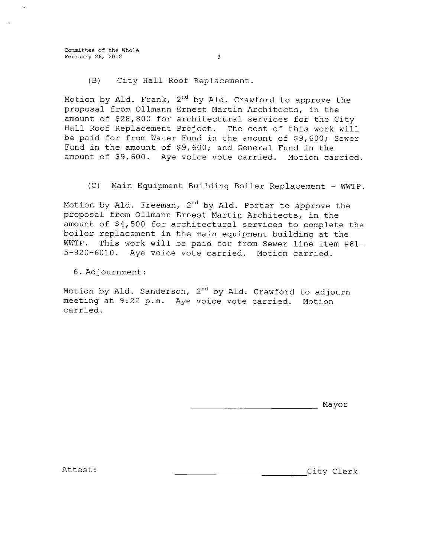Committee of the Whole February 26, 2018 3

(B) City Hall Roof Replacement.

Motion by Ald. Frank, 2<sup>nd</sup> by Ald. Crawford to approve the proposal from 011mann Ernest Martin Architects, in the amount of \$28, 800 for architectural services for the City Hall Roof Replacement Project. The cost of this work will be paid for from Water Fund in the amount of \$9, 600; Sewer Fund in the amount of \$9, 600; and General Fund in the amount of \$9,600. Aye voice vote carried. Motion carried.

C) Main Equipment Building Boiler Replacement - WWTP.

Motion by Ald. Freeman, 2<sup>nd</sup> by Ald. Porter to approve the proposal from 011mann Ernest Martin Architects, in the amount of \$4,500 for architectural services to complete the boiler replacement in the main equipment building at the WWTP. This work will be paid for from Sewer line item #61- 5- 820- 6010 . Aye voice vote carried. Motion carried.

6 . Adjournment :

Motion by Ald. Sanderson, 2<sup>nd</sup> by Ald. Crawford to adjourn meeting at 9:22 p.m. Aye voice vote carried. Motion carried.

Mayor

Attest : City Clerk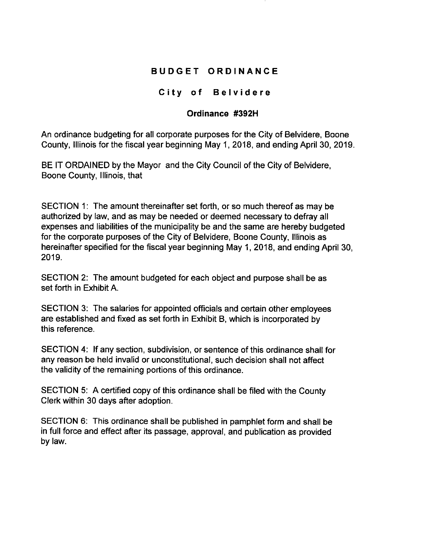# BUDGET ORDINANCE

# City of Belvidere

# Ordinance #392H

An ordinance budgeting for all corporate purposes for the City of Belvidere, Boone County, Illinois for the fiscal year beginning May 1, 2018, and ending April 30, 2019.

BE IT ORDAINED by the Mayor and the City Council of the City of Belvidere, Boone County, Illinois, that

SECTION 1: The amount thereinafter set forth, or so much thereof as may be authorized by law, and as may be needed or deemed necessary to defray all expenses and liabilities of the municipality be and the same are hereby budgeted for the corporate purposes of the City of Belvidere, Boone County, Illinois as hereinafter specified for the fiscal year beginning May 1, 2018, and ending April 30, 2019.

SECTION 2: The amount budgeted for each object and purpose shall be as set forth in Exhibit A.

SECTION 3: The salaries for appointed officials and certain other employees are established and fixed as set forth in Exhibit B, which is incorporated by this reference.

SECTION 4: If any section, subdivision, or sentence of this ordinance shall for any reason be held invalid or unconstitutional, such decision shall not affect the validity of the remaining portions of this ordinance.

SECTION 5: A certified copy of this ordinance shall be filed with the County Clerk within 30 days after adoption.

SECTION 6: This ordinance shall be published in pamphlet form and shall be in full force and effect after its passage, approval, and publication as provided by law.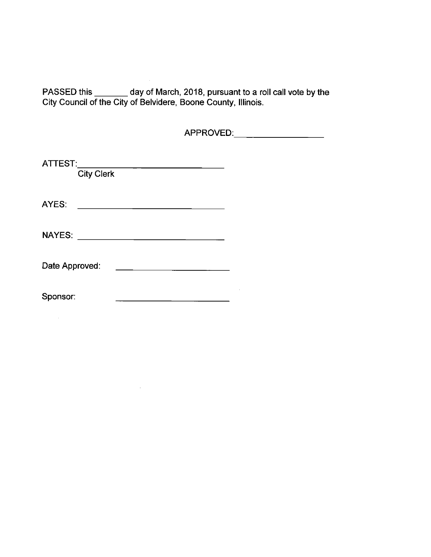PASSED this \_\_\_\_\_\_\_ day of March, 2018, pursuant to a roll call vote by the City Council of the City of Belvidere, Boone County, Illinois.

APPROVED:\_\_\_\_\_\_\_\_\_\_\_\_\_\_\_\_\_\_\_

| ATTEST:<br><b>City Clerk</b> |  |
|------------------------------|--|
| AYES:                        |  |
| <b>NAYES:</b>                |  |
| Date Approved:               |  |
| Sponsor:                     |  |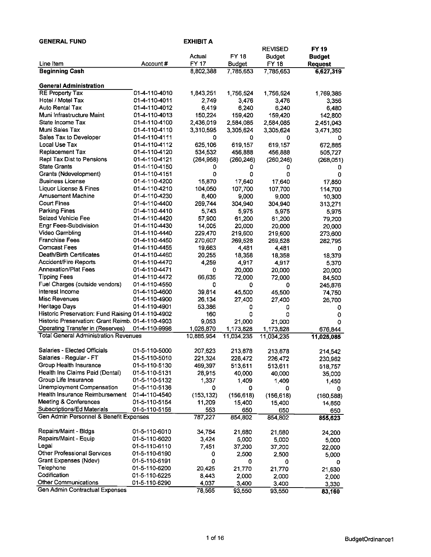| <b>GENERAL FUND</b>                                     |                                | EXHIBIT A      |                      |                |                |
|---------------------------------------------------------|--------------------------------|----------------|----------------------|----------------|----------------|
|                                                         |                                |                |                      | <b>REVISED</b> | <b>FY19</b>    |
|                                                         |                                | Actual         | <b>FY 18</b>         | <b>Budget</b>  | <b>Budget</b>  |
| Line Item                                               | Account #                      | <b>FY 17</b>   | <b>Budget</b>        | <b>FY 18</b>   | <b>Request</b> |
| <b>Beginning Cash</b>                                   |                                | 8,802,388      | 7,785,653            | 7,785,653      | 6,627,319      |
|                                                         |                                |                |                      |                |                |
| <b>General Administration</b>                           |                                |                |                      |                |                |
| <b>RE Property Tax</b>                                  | 01-4-110-4010                  | 1,843,251      | 1,756,524            | 1,756,524      | 1,769,385      |
| Hotel / Motel Tax<br>Auto Rental Tax                    | 01-4-110-4011                  | 2,749          | 3,476                | 3,476          | 3,356          |
| Muni Infrastructure Maint                               | 01-4-110-4012                  | 6,419          | 6,240                | 6,240          | 6,480          |
| State Income Tax                                        | 01-4-110-4013<br>01-4-110-4100 | 150,224        | 159,420<br>2,584,085 | 159,420        | 142,800        |
| Muni Sales Tax                                          | 01-4-110-4110                  | 2,436,019      |                      | 2,584,085      | 2,451,043      |
| Sales Tax to Developer                                  | 01-4-110-4111                  | 3,310,595<br>0 | 3,305,624<br>0       | 3,305,624<br>0 | 3,471,350      |
| Local Use Tax                                           | 01-4-110-4112                  | 625,106        | 619,157              | 619,157        | 0<br>672,885   |
| Replacement Tax                                         | 01-4-110-4120                  | 534,532        | 456,888              | 456,888        | 505,727        |
| Repl Tax Dist to Pensions                               | 01-4-110-4121                  | (264, 958)     | (260, 246)           | (260, 246)     |                |
| <b>State Grants</b>                                     | 01-4-110-4150                  | 0              | 0                    | 0              | (268,051)<br>0 |
| Grants (Ndevelopment)                                   | 01-4-110-4151                  | 0              | 0                    | 0              | 0              |
| <b>Business License</b>                                 | 01-4-110-4200                  | 15,870         | 17,640               | 17,640         | 17,850         |
| Liquor License & Fines                                  | 01-4-110-4210                  | 104,050        | 107,700              | 107,700        | 114,700        |
| <b>Amusement Machine</b>                                | 01-4-110-4230                  | 8,400          | 9,000                | 9,000          | 10,300         |
| <b>Court Fines</b>                                      | 01-4-110-4400                  | 269,744        | 304,940              | 304,940        | 313,271        |
| <b>Parking Fines</b>                                    | 01-4-110-4410                  | 5,743          | 5,975                | 5.975          | 5,975          |
| Seized Vehicle Fee                                      | 01-4-110-4420                  | 57,900         | 61,200               | 61,200         | 79,200         |
| Engr Fees-Subdivision                                   | 01-4-110-4430                  | 14,005         | 20,000               | 20,000         | 20,000         |
| Video Gambling                                          | 01-4-110-4440                  | 229,470        | 219,600              | 219,600        | 273,600        |
| <b>Franchise Fees</b>                                   | 01-4-110-4450                  | 270,607        | 269,528              | 269,528        | 282,795        |
| <b>Comcast Fees</b>                                     | 01-4-110-4455                  | 19,663         | 4,481                | 4.481          | 0              |
| Death/Birth Certificates                                | 01-4-110-4460                  | 20,255         | 18,358               | 18.358         | 18,379         |
| Accident/Fire Reports                                   | 01-4-110-4470                  | 4,259          | 4,917                | 4.917          | 5.370          |
| <b>Annexation/Plat Fees</b>                             | 01-4-110-4471                  | 0              | 20,000               | 20,000         | 20,000         |
| <b>Tipping Fees</b>                                     | 01-4-110-4472                  | 66,635         | 72,000               | 72,000         | 84,500         |
| Fuel Charges (outside vendors)                          | 01-4-110-4550                  | 0              | 0                    | 0              | 245,876        |
| interest Income                                         | 01-4-110-4600                  | 39,814         | 45,500               | 45,500         | 74,750         |
| <b>Misc Revenues</b>                                    | 01-4-110-4900                  | 26,134         | 27,400               | 27,400         | 26,700         |
| Heritage Days                                           | 01-4-110-4901                  | 53,386         | 0                    | 0              | 0              |
| Historic Preservation: Fund Raising 01-4-110-4902       |                                | 160            | 0                    | ٥              | 0              |
| Historic Preservation: Grant Reimb. 01-4-110-4903       |                                | 9,053          | 21,000               | 21,000         | Ω              |
| <b>Operating Transfer in (Reserves)</b>                 | 01-4-110-9998                  | 1,026,870      | 1,173,828            | 1,173,828      | 676,844        |
| <b>Total General Administration Revenues</b>            |                                | 10,885,954     | 11,034,235           | 11.034,235     | 11,025,085     |
|                                                         |                                |                |                      |                |                |
| Salaries - Elected Officials                            | 01-5-110-5000                  | 207,623        | 213,878              | 213,878        | 214 542        |
| Salaries - Regular - FT                                 | 01-5-110-5010                  | 221,324        | 226,472              | 226 472        | 230,962        |
| Group Health Insurance                                  | 01-5-110-5130                  | 469,397        | 513,611              | 513,611        | 518,757        |
| Health Ins Claims Paid (Dental)<br>Group Life Insurance | 01-5-110-5131                  | 28,915         | 40,000               | 40,000         | 35,000         |
| Unemployment Compensation                               | 01-5-110-5132                  | 1,337          | 1,409                | 1,409          | 1,450          |
| Health Insurance Reimbursement                          | 01-5-110-5136<br>01-4-110-4540 | 0              | 0                    | 0              | 0              |
| <b>Meeting &amp; Conferences</b>                        | 01-5-110-5154                  | (153, 132)     | (156, 618)           | (156, 618)     | (160.588)      |
| Subscriptions/Ed Materials                              | 01-5-110-5156                  | 11,209<br>553  | 15,400<br>650        | 15,400<br>650  | 14,850         |
| Gen Admin Personnel & Benefit Expenses                  |                                | 787,227        | 854,802              | 854,802        | 650<br>855,623 |
|                                                         |                                |                |                      |                |                |
| Repairs/Maint - Bldgs                                   | 01-5-110-6010                  | 34,784         | 21,680               | 21,680         | 24.200         |
| Repairs/Maint - Equip                                   | 01-5-110-6020                  | 3,424          | 5,000                | 5.000          | 5,000          |
| Legal                                                   | 01-5-110-6110                  | 7,451          | 37,200               | 37,200         | 22,000         |
| Other Professional Services                             | 01-5-110-6190                  | 0              | 2,500                | 2,500          | 5,000          |
| Grant Expenses (Ndev)                                   | 01-5-110-6191                  | 0              | 0                    | 0              | 0              |
| Telephone                                               | 01-5-110-6200                  | 20,425         | 21.770               | 21,770         | 21,630         |
| Codification                                            | 01-5-110-6225                  | 8,443          | 2,000                | 2,000          | 2,000          |
| <b>Other Communications</b>                             | 01-5-110-6290                  | 4,037          | 3,400                | 3,400          | 3,330          |
| Gen Admin Contractual Expenses                          |                                | 78,565         | 93,550               | 93,550         | 83.160         |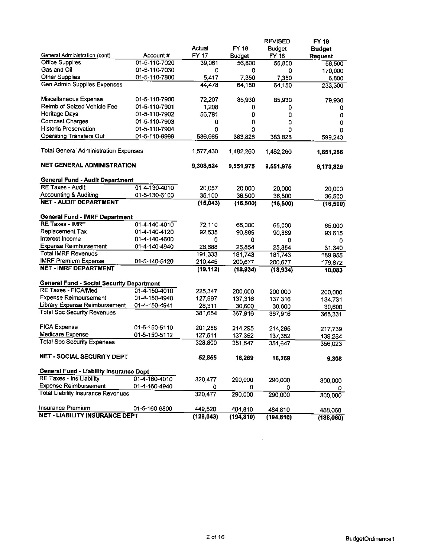|                                                                                                                                                                                                                                                                                                                                                                                                                                                                                                                               |               | Actual             | <b>FY 18</b>       | <b>REVISED</b>                | FY 19                           |
|-------------------------------------------------------------------------------------------------------------------------------------------------------------------------------------------------------------------------------------------------------------------------------------------------------------------------------------------------------------------------------------------------------------------------------------------------------------------------------------------------------------------------------|---------------|--------------------|--------------------|-------------------------------|---------------------------------|
| General Administration (cont)                                                                                                                                                                                                                                                                                                                                                                                                                                                                                                 | Account#      | <b>FY 17</b>       | <b>Budget</b>      | <b>Budget</b><br><b>FY 18</b> | <b>Budget</b><br><b>Request</b> |
| <b>Office Supplies</b>                                                                                                                                                                                                                                                                                                                                                                                                                                                                                                        | 01-5-110-7020 | 39,061             | 56,800             | 56,800                        | 56,500                          |
| Gas and Oil                                                                                                                                                                                                                                                                                                                                                                                                                                                                                                                   | 01-5-110-7030 | 0                  | 0                  | ٥                             | 170,000                         |
| <b>Other Supplies</b>                                                                                                                                                                                                                                                                                                                                                                                                                                                                                                         | 01-5-110-7800 | 5,417              | 7,350              | 7,350                         | 6,800                           |
| Gen Admin Supplies Expenses                                                                                                                                                                                                                                                                                                                                                                                                                                                                                                   |               | 44,478             | 64,150             | 64,150                        | 233,300                         |
| Miscellaneous Expense                                                                                                                                                                                                                                                                                                                                                                                                                                                                                                         | 01-5-110-7900 | 72,207             | 85,930             | 85,930                        | 79,930                          |
| Reimb of Seized Vehicle Fee                                                                                                                                                                                                                                                                                                                                                                                                                                                                                                   | 01-5-110-7901 | 1,208              | 0                  | 0                             | 0                               |
| <b>Heritage Days</b>                                                                                                                                                                                                                                                                                                                                                                                                                                                                                                          | 01-5-110-7902 | 56,781             | 0                  | 0                             | 0                               |
| <b>Comcast Charges</b>                                                                                                                                                                                                                                                                                                                                                                                                                                                                                                        | 01-5-110-7903 | 0                  | 0                  | 0                             | 0                               |
| <b>Historic Preservation</b>                                                                                                                                                                                                                                                                                                                                                                                                                                                                                                  | 01-5-110-7904 | 0                  | ٥                  | 0                             | 0                               |
| <b>Operating Transfers Out</b>                                                                                                                                                                                                                                                                                                                                                                                                                                                                                                | 01-5-110-9999 | 536,965            | 383,828            | 383,828                       | 599,243                         |
| <b>Total General Administration Expenses</b>                                                                                                                                                                                                                                                                                                                                                                                                                                                                                  |               | 1,577,430          | 1,482,260          | 1,482,260                     | 1,851,256                       |
| <b>NET GENERAL ADMINISTRATION</b>                                                                                                                                                                                                                                                                                                                                                                                                                                                                                             |               | 9,308,524          | 9,551,975          | 9,551,975                     | 9,173,829                       |
| <b>General Fund - Audit Department</b>                                                                                                                                                                                                                                                                                                                                                                                                                                                                                        |               |                    |                    |                               |                                 |
| <b>RE Taxes - Audit</b>                                                                                                                                                                                                                                                                                                                                                                                                                                                                                                       | 01-4-130-4010 | 20,057             | 20,000             | 20,000                        | 20,000                          |
| <b>Accounting &amp; Auditing</b>                                                                                                                                                                                                                                                                                                                                                                                                                                                                                              | 01-5-130-6100 | 35,100             | 36,500             | 36,500                        | 36,500                          |
| <b>NET - AUDIT DEPARTMENT</b>                                                                                                                                                                                                                                                                                                                                                                                                                                                                                                 |               | (15,043)           | (16, 500)          | (16, 500)                     | (16, 500)                       |
| <b>General Fund - IMRF Department</b>                                                                                                                                                                                                                                                                                                                                                                                                                                                                                         |               |                    |                    |                               |                                 |
| <b>RE Taxes - IMRF</b>                                                                                                                                                                                                                                                                                                                                                                                                                                                                                                        | 01-4-140-4010 | 72,110             | 65,000             | 65,000                        | 65,000                          |
| Replacement Tax                                                                                                                                                                                                                                                                                                                                                                                                                                                                                                               | 01-4-140-4120 | 92,535             | 90,889             | 90,889                        | 93,615                          |
| Interest Income                                                                                                                                                                                                                                                                                                                                                                                                                                                                                                               | 01-4-140-4600 | 0                  | 0                  | ٥                             | 0                               |
| <b>Expense Reimbursement</b>                                                                                                                                                                                                                                                                                                                                                                                                                                                                                                  | 01-4-140-4940 | 26.688             | 25,854             | 25,854                        | 31,340                          |
| <b>Total IMRF Revenues</b>                                                                                                                                                                                                                                                                                                                                                                                                                                                                                                    |               | 191,333            | 181,743            | 181,743                       | 189,955                         |
| <b>IMRF Premium Expense</b>                                                                                                                                                                                                                                                                                                                                                                                                                                                                                                   | 01-5-140-5120 | 210,445            | 200,677            | 200,677                       | 179,872                         |
| <b>NET - IMRF DEPARTMENT</b>                                                                                                                                                                                                                                                                                                                                                                                                                                                                                                  |               | (19, 112)          | (18, 934)          | (18, 934)                     | 10,083                          |
|                                                                                                                                                                                                                                                                                                                                                                                                                                                                                                                               |               |                    |                    |                               |                                 |
|                                                                                                                                                                                                                                                                                                                                                                                                                                                                                                                               |               |                    |                    |                               |                                 |
|                                                                                                                                                                                                                                                                                                                                                                                                                                                                                                                               | 01-4-150-4010 |                    |                    |                               |                                 |
|                                                                                                                                                                                                                                                                                                                                                                                                                                                                                                                               | 01-4-150-4940 | 225,347            | 200,000            | 200,000                       | 200,000                         |
|                                                                                                                                                                                                                                                                                                                                                                                                                                                                                                                               |               | 127,997            | 137,316            | 137,316                       | 134,731                         |
|                                                                                                                                                                                                                                                                                                                                                                                                                                                                                                                               | 01-4-150-4941 | 28,311<br>381,654  | 30,600<br>367,916  | 30,600<br>367,916             | 30,600<br>365,331               |
|                                                                                                                                                                                                                                                                                                                                                                                                                                                                                                                               | 01-5-150-5110 |                    |                    |                               |                                 |
|                                                                                                                                                                                                                                                                                                                                                                                                                                                                                                                               | 01-5-150-5112 | 201,288<br>127,511 | 214,295            | 214 295                       | 217,739                         |
|                                                                                                                                                                                                                                                                                                                                                                                                                                                                                                                               |               | 328,800            | 137,352<br>351,647 | 137,352<br>351,647            | 138,284<br>356,023              |
|                                                                                                                                                                                                                                                                                                                                                                                                                                                                                                                               |               | 52,855             | 16,269             | 16,269                        | 9,308                           |
|                                                                                                                                                                                                                                                                                                                                                                                                                                                                                                                               |               |                    |                    |                               |                                 |
|                                                                                                                                                                                                                                                                                                                                                                                                                                                                                                                               | 01-4-160-4010 |                    |                    |                               |                                 |
|                                                                                                                                                                                                                                                                                                                                                                                                                                                                                                                               | 01-4-160-4940 | 320,477<br>0       | 290,000<br>0       | 290,000                       | 300,000                         |
|                                                                                                                                                                                                                                                                                                                                                                                                                                                                                                                               |               | 320,477            | 290,000            | 0<br>290,000                  | 300,000                         |
| <b>General Fund - Social Security Department</b><br><b>RE Taxes - FICA/Med</b><br><b>Expense Reimbursement</b><br><b>Library Expense Reimbursement</b><br><b>Total Soc Security Revenues</b><br><b>FICA Expense</b><br>Medicare Expense<br><b>Total Soc Security Expenses</b><br>NET - SOCIAL SECURITY DEPT<br>General Fund - Liability Insurance Dept<br>RE Taxes - Ins Liability<br><b>Expense Reimbursement</b><br><b>Total Liability Insurance Revenues</b><br>Insurance Premium<br><b>NET - LIABILITY INSURANCE DEPT</b> | 01-5-160-6800 | 449,520            | 484,810            | 484,810                       | 488,060                         |

 $\mathcal{L}^{\text{max}}_{\text{max}}$  and  $\mathcal{L}^{\text{max}}_{\text{max}}$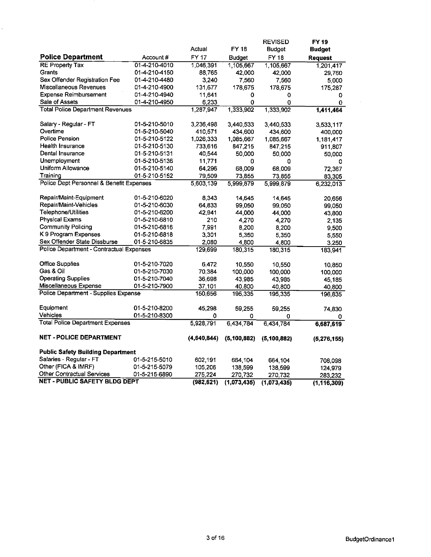| FY 18<br>Actual<br><b>Budget</b><br><b>Budget</b><br><b>Police Department</b><br>FY 17<br>FY 18<br>Account#<br>Budget<br>Request<br><b>RE Property Tax</b><br>01-4-210-4010<br>1,046,391<br>1,105,667<br>1,105,667<br>1,201,417<br>Grants<br>01-4-210-4150<br>88,765<br>42,000<br>42,000<br>29,760<br>Sex Offender Registration Fee<br>01-4-210-4480<br>3,240<br>7,560<br>7,560<br>5,000<br>Miscellaneous Revenues<br>01-4-210-4900<br>131,677<br>178,675<br>178,675<br>175,287<br><b>Expense Reimbursement</b><br>01-4-210-4940<br>11,641<br>0<br>0<br>0<br>Sale of Assets<br>01-4-210-4950<br>6,233<br>0<br>0<br>0<br><b>Total Police Department Revenues</b><br>1,287,947<br>1,333,902<br>1,333,902<br>1,411,464<br>Salary - Regular - FT<br>01-5-210-5010<br>3,236,498<br>3,440,533<br>3,440,533<br>3,533,117<br>Overtime<br>01-5-210-5040<br>410,571<br>434,600<br>434,600<br>400,000<br><b>Police Pension</b><br>01-5-210-5122<br>1,026,333<br>1,085,667<br>1,085,667<br>1,181,417<br>Health Insurance<br>01-5-210-5130<br>733,616<br>847,215<br>847,215<br>911,807<br>Dental Insurance<br>01-5-210-5131<br>40,544<br>50,000<br>50,000<br>50,000<br>Unemployment<br>01-5-210-5136<br>11,771<br>0<br>٥<br>0<br>Uniform Allowance<br>01-5-210-5140<br>64,296<br>68,009<br>68,009<br>72,367<br>Training<br>01-5-210-5152<br>79,509<br>73,855<br>73,855<br>83,305<br>Police Dept Personnel & Benefit Expenses<br>5,603,139<br>5,999,879<br>5,999,879<br>6,232,013<br>Repair/Maint-Equipment<br>01-5-210-6020<br>8,343<br>14,645<br>14,645<br>20,656<br>Repair/Maint-Vehicles<br>01-5-210-6030<br>64,833<br>99,050<br>99,050<br>99,050<br>Telephone/Utilities<br>01-5-210-6200<br>42,941<br>44,000<br>44,000<br>43,800<br><b>Physical Exams</b><br>01-5-210-6810<br>210<br>4,270<br>4,270<br>2,135<br><b>Community Policing</b><br>7,991<br>01-5-210-6816<br>8,200<br>8,200<br>9,500<br>K 9 Program Expenses<br>01-5-210-6818<br>3,301<br>5,350<br>5,350<br>5,550<br>Sex Offender State Dissburse<br>01-5-210-6835<br>2,080<br>4,800<br>4,800<br>3,250<br>Police Department - Contractual Expenses<br>129,699<br>180,315<br>180,315<br>183,941<br><b>Office Supplies</b><br>01-5-210-7020<br>6,472<br>10.550<br>10.550<br>10,850<br>Gas & Oil<br>01-5-210-7030<br>70,384<br>100,000<br>100,000<br>100,000<br><b>Operating Supplies</b><br>01-5-210-7040<br>36,698<br>43,985<br>43,985<br>45,185<br>Miscellaneous Expense<br>01-5-210-7900<br>37,101<br>40,800<br>40,800<br>40,800<br>Police Department - Supplies Expense<br>150,656<br>195,335<br>195.335<br>196,835<br>Equipment<br>01-5-210-8200<br>45,298<br>59,255<br>59 255<br>74,830<br>Vehicles<br>01-5-210-8300<br>0<br>0<br>0<br>0<br><b>Total Police Department Expenses</b><br>5,928,791<br>6,434,784<br>6,434,784<br>6,687,619<br><b>NET - POLICE DEPARTMENT</b><br>(4,640,844)<br>(5, 100, 882)<br>(5, 100, 882)<br>(5,276,155)<br><b>Public Safety Building Department</b><br>Salaries - Regular - FT<br>01-5-215-5010<br>602,191<br>664,104<br>664 104<br>708,098<br>Other (FICA & IMRF)<br>01-5-215-5079<br>105,206<br>138,599<br>138.599<br>124,979<br><b>Other Contractual Services</b><br>01-5-215-6890<br>275,224<br>270,732<br>270,732<br>283,232<br><b>NET - PUBLIC SAFETY BLDG DEPT</b><br>(982, 621)<br>(1,073,435)<br>(1,073,435)<br>(1, 116, 309) |  |  | <b>REVISED</b> | FY 19 |
|-------------------------------------------------------------------------------------------------------------------------------------------------------------------------------------------------------------------------------------------------------------------------------------------------------------------------------------------------------------------------------------------------------------------------------------------------------------------------------------------------------------------------------------------------------------------------------------------------------------------------------------------------------------------------------------------------------------------------------------------------------------------------------------------------------------------------------------------------------------------------------------------------------------------------------------------------------------------------------------------------------------------------------------------------------------------------------------------------------------------------------------------------------------------------------------------------------------------------------------------------------------------------------------------------------------------------------------------------------------------------------------------------------------------------------------------------------------------------------------------------------------------------------------------------------------------------------------------------------------------------------------------------------------------------------------------------------------------------------------------------------------------------------------------------------------------------------------------------------------------------------------------------------------------------------------------------------------------------------------------------------------------------------------------------------------------------------------------------------------------------------------------------------------------------------------------------------------------------------------------------------------------------------------------------------------------------------------------------------------------------------------------------------------------------------------------------------------------------------------------------------------------------------------------------------------------------------------------------------------------------------------------------------------------------------------------------------------------------------------------------------------------------------------------------------------------------------------------------------------------------------------------------------------------------------------------------------------------------------------------------------------------------------------------------------------------------------------------------------------------------------------------------------------------------------------------------------------------------------------------------------------------------------------------------------------------------------|--|--|----------------|-------|
|                                                                                                                                                                                                                                                                                                                                                                                                                                                                                                                                                                                                                                                                                                                                                                                                                                                                                                                                                                                                                                                                                                                                                                                                                                                                                                                                                                                                                                                                                                                                                                                                                                                                                                                                                                                                                                                                                                                                                                                                                                                                                                                                                                                                                                                                                                                                                                                                                                                                                                                                                                                                                                                                                                                                                                                                                                                                                                                                                                                                                                                                                                                                                                                                                                                                                                                               |  |  |                |       |
|                                                                                                                                                                                                                                                                                                                                                                                                                                                                                                                                                                                                                                                                                                                                                                                                                                                                                                                                                                                                                                                                                                                                                                                                                                                                                                                                                                                                                                                                                                                                                                                                                                                                                                                                                                                                                                                                                                                                                                                                                                                                                                                                                                                                                                                                                                                                                                                                                                                                                                                                                                                                                                                                                                                                                                                                                                                                                                                                                                                                                                                                                                                                                                                                                                                                                                                               |  |  |                |       |
|                                                                                                                                                                                                                                                                                                                                                                                                                                                                                                                                                                                                                                                                                                                                                                                                                                                                                                                                                                                                                                                                                                                                                                                                                                                                                                                                                                                                                                                                                                                                                                                                                                                                                                                                                                                                                                                                                                                                                                                                                                                                                                                                                                                                                                                                                                                                                                                                                                                                                                                                                                                                                                                                                                                                                                                                                                                                                                                                                                                                                                                                                                                                                                                                                                                                                                                               |  |  |                |       |
|                                                                                                                                                                                                                                                                                                                                                                                                                                                                                                                                                                                                                                                                                                                                                                                                                                                                                                                                                                                                                                                                                                                                                                                                                                                                                                                                                                                                                                                                                                                                                                                                                                                                                                                                                                                                                                                                                                                                                                                                                                                                                                                                                                                                                                                                                                                                                                                                                                                                                                                                                                                                                                                                                                                                                                                                                                                                                                                                                                                                                                                                                                                                                                                                                                                                                                                               |  |  |                |       |
|                                                                                                                                                                                                                                                                                                                                                                                                                                                                                                                                                                                                                                                                                                                                                                                                                                                                                                                                                                                                                                                                                                                                                                                                                                                                                                                                                                                                                                                                                                                                                                                                                                                                                                                                                                                                                                                                                                                                                                                                                                                                                                                                                                                                                                                                                                                                                                                                                                                                                                                                                                                                                                                                                                                                                                                                                                                                                                                                                                                                                                                                                                                                                                                                                                                                                                                               |  |  |                |       |
|                                                                                                                                                                                                                                                                                                                                                                                                                                                                                                                                                                                                                                                                                                                                                                                                                                                                                                                                                                                                                                                                                                                                                                                                                                                                                                                                                                                                                                                                                                                                                                                                                                                                                                                                                                                                                                                                                                                                                                                                                                                                                                                                                                                                                                                                                                                                                                                                                                                                                                                                                                                                                                                                                                                                                                                                                                                                                                                                                                                                                                                                                                                                                                                                                                                                                                                               |  |  |                |       |
|                                                                                                                                                                                                                                                                                                                                                                                                                                                                                                                                                                                                                                                                                                                                                                                                                                                                                                                                                                                                                                                                                                                                                                                                                                                                                                                                                                                                                                                                                                                                                                                                                                                                                                                                                                                                                                                                                                                                                                                                                                                                                                                                                                                                                                                                                                                                                                                                                                                                                                                                                                                                                                                                                                                                                                                                                                                                                                                                                                                                                                                                                                                                                                                                                                                                                                                               |  |  |                |       |
|                                                                                                                                                                                                                                                                                                                                                                                                                                                                                                                                                                                                                                                                                                                                                                                                                                                                                                                                                                                                                                                                                                                                                                                                                                                                                                                                                                                                                                                                                                                                                                                                                                                                                                                                                                                                                                                                                                                                                                                                                                                                                                                                                                                                                                                                                                                                                                                                                                                                                                                                                                                                                                                                                                                                                                                                                                                                                                                                                                                                                                                                                                                                                                                                                                                                                                                               |  |  |                |       |
|                                                                                                                                                                                                                                                                                                                                                                                                                                                                                                                                                                                                                                                                                                                                                                                                                                                                                                                                                                                                                                                                                                                                                                                                                                                                                                                                                                                                                                                                                                                                                                                                                                                                                                                                                                                                                                                                                                                                                                                                                                                                                                                                                                                                                                                                                                                                                                                                                                                                                                                                                                                                                                                                                                                                                                                                                                                                                                                                                                                                                                                                                                                                                                                                                                                                                                                               |  |  |                |       |
|                                                                                                                                                                                                                                                                                                                                                                                                                                                                                                                                                                                                                                                                                                                                                                                                                                                                                                                                                                                                                                                                                                                                                                                                                                                                                                                                                                                                                                                                                                                                                                                                                                                                                                                                                                                                                                                                                                                                                                                                                                                                                                                                                                                                                                                                                                                                                                                                                                                                                                                                                                                                                                                                                                                                                                                                                                                                                                                                                                                                                                                                                                                                                                                                                                                                                                                               |  |  |                |       |
|                                                                                                                                                                                                                                                                                                                                                                                                                                                                                                                                                                                                                                                                                                                                                                                                                                                                                                                                                                                                                                                                                                                                                                                                                                                                                                                                                                                                                                                                                                                                                                                                                                                                                                                                                                                                                                                                                                                                                                                                                                                                                                                                                                                                                                                                                                                                                                                                                                                                                                                                                                                                                                                                                                                                                                                                                                                                                                                                                                                                                                                                                                                                                                                                                                                                                                                               |  |  |                |       |
|                                                                                                                                                                                                                                                                                                                                                                                                                                                                                                                                                                                                                                                                                                                                                                                                                                                                                                                                                                                                                                                                                                                                                                                                                                                                                                                                                                                                                                                                                                                                                                                                                                                                                                                                                                                                                                                                                                                                                                                                                                                                                                                                                                                                                                                                                                                                                                                                                                                                                                                                                                                                                                                                                                                                                                                                                                                                                                                                                                                                                                                                                                                                                                                                                                                                                                                               |  |  |                |       |
|                                                                                                                                                                                                                                                                                                                                                                                                                                                                                                                                                                                                                                                                                                                                                                                                                                                                                                                                                                                                                                                                                                                                                                                                                                                                                                                                                                                                                                                                                                                                                                                                                                                                                                                                                                                                                                                                                                                                                                                                                                                                                                                                                                                                                                                                                                                                                                                                                                                                                                                                                                                                                                                                                                                                                                                                                                                                                                                                                                                                                                                                                                                                                                                                                                                                                                                               |  |  |                |       |
|                                                                                                                                                                                                                                                                                                                                                                                                                                                                                                                                                                                                                                                                                                                                                                                                                                                                                                                                                                                                                                                                                                                                                                                                                                                                                                                                                                                                                                                                                                                                                                                                                                                                                                                                                                                                                                                                                                                                                                                                                                                                                                                                                                                                                                                                                                                                                                                                                                                                                                                                                                                                                                                                                                                                                                                                                                                                                                                                                                                                                                                                                                                                                                                                                                                                                                                               |  |  |                |       |
|                                                                                                                                                                                                                                                                                                                                                                                                                                                                                                                                                                                                                                                                                                                                                                                                                                                                                                                                                                                                                                                                                                                                                                                                                                                                                                                                                                                                                                                                                                                                                                                                                                                                                                                                                                                                                                                                                                                                                                                                                                                                                                                                                                                                                                                                                                                                                                                                                                                                                                                                                                                                                                                                                                                                                                                                                                                                                                                                                                                                                                                                                                                                                                                                                                                                                                                               |  |  |                |       |
|                                                                                                                                                                                                                                                                                                                                                                                                                                                                                                                                                                                                                                                                                                                                                                                                                                                                                                                                                                                                                                                                                                                                                                                                                                                                                                                                                                                                                                                                                                                                                                                                                                                                                                                                                                                                                                                                                                                                                                                                                                                                                                                                                                                                                                                                                                                                                                                                                                                                                                                                                                                                                                                                                                                                                                                                                                                                                                                                                                                                                                                                                                                                                                                                                                                                                                                               |  |  |                |       |
|                                                                                                                                                                                                                                                                                                                                                                                                                                                                                                                                                                                                                                                                                                                                                                                                                                                                                                                                                                                                                                                                                                                                                                                                                                                                                                                                                                                                                                                                                                                                                                                                                                                                                                                                                                                                                                                                                                                                                                                                                                                                                                                                                                                                                                                                                                                                                                                                                                                                                                                                                                                                                                                                                                                                                                                                                                                                                                                                                                                                                                                                                                                                                                                                                                                                                                                               |  |  |                |       |
|                                                                                                                                                                                                                                                                                                                                                                                                                                                                                                                                                                                                                                                                                                                                                                                                                                                                                                                                                                                                                                                                                                                                                                                                                                                                                                                                                                                                                                                                                                                                                                                                                                                                                                                                                                                                                                                                                                                                                                                                                                                                                                                                                                                                                                                                                                                                                                                                                                                                                                                                                                                                                                                                                                                                                                                                                                                                                                                                                                                                                                                                                                                                                                                                                                                                                                                               |  |  |                |       |
|                                                                                                                                                                                                                                                                                                                                                                                                                                                                                                                                                                                                                                                                                                                                                                                                                                                                                                                                                                                                                                                                                                                                                                                                                                                                                                                                                                                                                                                                                                                                                                                                                                                                                                                                                                                                                                                                                                                                                                                                                                                                                                                                                                                                                                                                                                                                                                                                                                                                                                                                                                                                                                                                                                                                                                                                                                                                                                                                                                                                                                                                                                                                                                                                                                                                                                                               |  |  |                |       |
|                                                                                                                                                                                                                                                                                                                                                                                                                                                                                                                                                                                                                                                                                                                                                                                                                                                                                                                                                                                                                                                                                                                                                                                                                                                                                                                                                                                                                                                                                                                                                                                                                                                                                                                                                                                                                                                                                                                                                                                                                                                                                                                                                                                                                                                                                                                                                                                                                                                                                                                                                                                                                                                                                                                                                                                                                                                                                                                                                                                                                                                                                                                                                                                                                                                                                                                               |  |  |                |       |
|                                                                                                                                                                                                                                                                                                                                                                                                                                                                                                                                                                                                                                                                                                                                                                                                                                                                                                                                                                                                                                                                                                                                                                                                                                                                                                                                                                                                                                                                                                                                                                                                                                                                                                                                                                                                                                                                                                                                                                                                                                                                                                                                                                                                                                                                                                                                                                                                                                                                                                                                                                                                                                                                                                                                                                                                                                                                                                                                                                                                                                                                                                                                                                                                                                                                                                                               |  |  |                |       |
|                                                                                                                                                                                                                                                                                                                                                                                                                                                                                                                                                                                                                                                                                                                                                                                                                                                                                                                                                                                                                                                                                                                                                                                                                                                                                                                                                                                                                                                                                                                                                                                                                                                                                                                                                                                                                                                                                                                                                                                                                                                                                                                                                                                                                                                                                                                                                                                                                                                                                                                                                                                                                                                                                                                                                                                                                                                                                                                                                                                                                                                                                                                                                                                                                                                                                                                               |  |  |                |       |
|                                                                                                                                                                                                                                                                                                                                                                                                                                                                                                                                                                                                                                                                                                                                                                                                                                                                                                                                                                                                                                                                                                                                                                                                                                                                                                                                                                                                                                                                                                                                                                                                                                                                                                                                                                                                                                                                                                                                                                                                                                                                                                                                                                                                                                                                                                                                                                                                                                                                                                                                                                                                                                                                                                                                                                                                                                                                                                                                                                                                                                                                                                                                                                                                                                                                                                                               |  |  |                |       |
|                                                                                                                                                                                                                                                                                                                                                                                                                                                                                                                                                                                                                                                                                                                                                                                                                                                                                                                                                                                                                                                                                                                                                                                                                                                                                                                                                                                                                                                                                                                                                                                                                                                                                                                                                                                                                                                                                                                                                                                                                                                                                                                                                                                                                                                                                                                                                                                                                                                                                                                                                                                                                                                                                                                                                                                                                                                                                                                                                                                                                                                                                                                                                                                                                                                                                                                               |  |  |                |       |
|                                                                                                                                                                                                                                                                                                                                                                                                                                                                                                                                                                                                                                                                                                                                                                                                                                                                                                                                                                                                                                                                                                                                                                                                                                                                                                                                                                                                                                                                                                                                                                                                                                                                                                                                                                                                                                                                                                                                                                                                                                                                                                                                                                                                                                                                                                                                                                                                                                                                                                                                                                                                                                                                                                                                                                                                                                                                                                                                                                                                                                                                                                                                                                                                                                                                                                                               |  |  |                |       |
|                                                                                                                                                                                                                                                                                                                                                                                                                                                                                                                                                                                                                                                                                                                                                                                                                                                                                                                                                                                                                                                                                                                                                                                                                                                                                                                                                                                                                                                                                                                                                                                                                                                                                                                                                                                                                                                                                                                                                                                                                                                                                                                                                                                                                                                                                                                                                                                                                                                                                                                                                                                                                                                                                                                                                                                                                                                                                                                                                                                                                                                                                                                                                                                                                                                                                                                               |  |  |                |       |
|                                                                                                                                                                                                                                                                                                                                                                                                                                                                                                                                                                                                                                                                                                                                                                                                                                                                                                                                                                                                                                                                                                                                                                                                                                                                                                                                                                                                                                                                                                                                                                                                                                                                                                                                                                                                                                                                                                                                                                                                                                                                                                                                                                                                                                                                                                                                                                                                                                                                                                                                                                                                                                                                                                                                                                                                                                                                                                                                                                                                                                                                                                                                                                                                                                                                                                                               |  |  |                |       |
|                                                                                                                                                                                                                                                                                                                                                                                                                                                                                                                                                                                                                                                                                                                                                                                                                                                                                                                                                                                                                                                                                                                                                                                                                                                                                                                                                                                                                                                                                                                                                                                                                                                                                                                                                                                                                                                                                                                                                                                                                                                                                                                                                                                                                                                                                                                                                                                                                                                                                                                                                                                                                                                                                                                                                                                                                                                                                                                                                                                                                                                                                                                                                                                                                                                                                                                               |  |  |                |       |
|                                                                                                                                                                                                                                                                                                                                                                                                                                                                                                                                                                                                                                                                                                                                                                                                                                                                                                                                                                                                                                                                                                                                                                                                                                                                                                                                                                                                                                                                                                                                                                                                                                                                                                                                                                                                                                                                                                                                                                                                                                                                                                                                                                                                                                                                                                                                                                                                                                                                                                                                                                                                                                                                                                                                                                                                                                                                                                                                                                                                                                                                                                                                                                                                                                                                                                                               |  |  |                |       |
|                                                                                                                                                                                                                                                                                                                                                                                                                                                                                                                                                                                                                                                                                                                                                                                                                                                                                                                                                                                                                                                                                                                                                                                                                                                                                                                                                                                                                                                                                                                                                                                                                                                                                                                                                                                                                                                                                                                                                                                                                                                                                                                                                                                                                                                                                                                                                                                                                                                                                                                                                                                                                                                                                                                                                                                                                                                                                                                                                                                                                                                                                                                                                                                                                                                                                                                               |  |  |                |       |
|                                                                                                                                                                                                                                                                                                                                                                                                                                                                                                                                                                                                                                                                                                                                                                                                                                                                                                                                                                                                                                                                                                                                                                                                                                                                                                                                                                                                                                                                                                                                                                                                                                                                                                                                                                                                                                                                                                                                                                                                                                                                                                                                                                                                                                                                                                                                                                                                                                                                                                                                                                                                                                                                                                                                                                                                                                                                                                                                                                                                                                                                                                                                                                                                                                                                                                                               |  |  |                |       |
|                                                                                                                                                                                                                                                                                                                                                                                                                                                                                                                                                                                                                                                                                                                                                                                                                                                                                                                                                                                                                                                                                                                                                                                                                                                                                                                                                                                                                                                                                                                                                                                                                                                                                                                                                                                                                                                                                                                                                                                                                                                                                                                                                                                                                                                                                                                                                                                                                                                                                                                                                                                                                                                                                                                                                                                                                                                                                                                                                                                                                                                                                                                                                                                                                                                                                                                               |  |  |                |       |
|                                                                                                                                                                                                                                                                                                                                                                                                                                                                                                                                                                                                                                                                                                                                                                                                                                                                                                                                                                                                                                                                                                                                                                                                                                                                                                                                                                                                                                                                                                                                                                                                                                                                                                                                                                                                                                                                                                                                                                                                                                                                                                                                                                                                                                                                                                                                                                                                                                                                                                                                                                                                                                                                                                                                                                                                                                                                                                                                                                                                                                                                                                                                                                                                                                                                                                                               |  |  |                |       |
|                                                                                                                                                                                                                                                                                                                                                                                                                                                                                                                                                                                                                                                                                                                                                                                                                                                                                                                                                                                                                                                                                                                                                                                                                                                                                                                                                                                                                                                                                                                                                                                                                                                                                                                                                                                                                                                                                                                                                                                                                                                                                                                                                                                                                                                                                                                                                                                                                                                                                                                                                                                                                                                                                                                                                                                                                                                                                                                                                                                                                                                                                                                                                                                                                                                                                                                               |  |  |                |       |
|                                                                                                                                                                                                                                                                                                                                                                                                                                                                                                                                                                                                                                                                                                                                                                                                                                                                                                                                                                                                                                                                                                                                                                                                                                                                                                                                                                                                                                                                                                                                                                                                                                                                                                                                                                                                                                                                                                                                                                                                                                                                                                                                                                                                                                                                                                                                                                                                                                                                                                                                                                                                                                                                                                                                                                                                                                                                                                                                                                                                                                                                                                                                                                                                                                                                                                                               |  |  |                |       |
|                                                                                                                                                                                                                                                                                                                                                                                                                                                                                                                                                                                                                                                                                                                                                                                                                                                                                                                                                                                                                                                                                                                                                                                                                                                                                                                                                                                                                                                                                                                                                                                                                                                                                                                                                                                                                                                                                                                                                                                                                                                                                                                                                                                                                                                                                                                                                                                                                                                                                                                                                                                                                                                                                                                                                                                                                                                                                                                                                                                                                                                                                                                                                                                                                                                                                                                               |  |  |                |       |
|                                                                                                                                                                                                                                                                                                                                                                                                                                                                                                                                                                                                                                                                                                                                                                                                                                                                                                                                                                                                                                                                                                                                                                                                                                                                                                                                                                                                                                                                                                                                                                                                                                                                                                                                                                                                                                                                                                                                                                                                                                                                                                                                                                                                                                                                                                                                                                                                                                                                                                                                                                                                                                                                                                                                                                                                                                                                                                                                                                                                                                                                                                                                                                                                                                                                                                                               |  |  |                |       |
|                                                                                                                                                                                                                                                                                                                                                                                                                                                                                                                                                                                                                                                                                                                                                                                                                                                                                                                                                                                                                                                                                                                                                                                                                                                                                                                                                                                                                                                                                                                                                                                                                                                                                                                                                                                                                                                                                                                                                                                                                                                                                                                                                                                                                                                                                                                                                                                                                                                                                                                                                                                                                                                                                                                                                                                                                                                                                                                                                                                                                                                                                                                                                                                                                                                                                                                               |  |  |                |       |
|                                                                                                                                                                                                                                                                                                                                                                                                                                                                                                                                                                                                                                                                                                                                                                                                                                                                                                                                                                                                                                                                                                                                                                                                                                                                                                                                                                                                                                                                                                                                                                                                                                                                                                                                                                                                                                                                                                                                                                                                                                                                                                                                                                                                                                                                                                                                                                                                                                                                                                                                                                                                                                                                                                                                                                                                                                                                                                                                                                                                                                                                                                                                                                                                                                                                                                                               |  |  |                |       |
|                                                                                                                                                                                                                                                                                                                                                                                                                                                                                                                                                                                                                                                                                                                                                                                                                                                                                                                                                                                                                                                                                                                                                                                                                                                                                                                                                                                                                                                                                                                                                                                                                                                                                                                                                                                                                                                                                                                                                                                                                                                                                                                                                                                                                                                                                                                                                                                                                                                                                                                                                                                                                                                                                                                                                                                                                                                                                                                                                                                                                                                                                                                                                                                                                                                                                                                               |  |  |                |       |
|                                                                                                                                                                                                                                                                                                                                                                                                                                                                                                                                                                                                                                                                                                                                                                                                                                                                                                                                                                                                                                                                                                                                                                                                                                                                                                                                                                                                                                                                                                                                                                                                                                                                                                                                                                                                                                                                                                                                                                                                                                                                                                                                                                                                                                                                                                                                                                                                                                                                                                                                                                                                                                                                                                                                                                                                                                                                                                                                                                                                                                                                                                                                                                                                                                                                                                                               |  |  |                |       |
|                                                                                                                                                                                                                                                                                                                                                                                                                                                                                                                                                                                                                                                                                                                                                                                                                                                                                                                                                                                                                                                                                                                                                                                                                                                                                                                                                                                                                                                                                                                                                                                                                                                                                                                                                                                                                                                                                                                                                                                                                                                                                                                                                                                                                                                                                                                                                                                                                                                                                                                                                                                                                                                                                                                                                                                                                                                                                                                                                                                                                                                                                                                                                                                                                                                                                                                               |  |  |                |       |

Ŷ.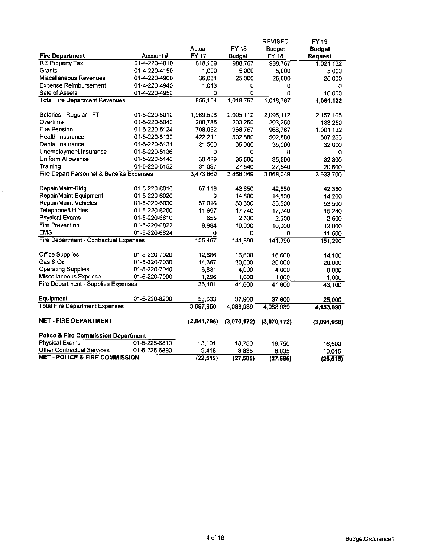|                                                |               |             |               | <b>REVISED</b> | FY 19          |
|------------------------------------------------|---------------|-------------|---------------|----------------|----------------|
|                                                |               | Actual      | FY 18         | <b>Budget</b>  | <b>Budget</b>  |
| <b>Fire Department</b>                         | Account #     | FY 17       | <b>Budget</b> | <b>FY 18</b>   | <b>Request</b> |
| <b>RE Property Tax</b>                         | 01-4-220-4010 | 818,109     | 988,767       | 988.767        | 1,021,132      |
| Grants                                         | 01-4-220-4150 | 1,000       | 5,000         | 5,000          | 5,000          |
| Miscellaneous Revenues                         | 01-4-220-4900 | 36.031      | 25,000        | 25,000         | 25,000         |
| <b>Expense Reimbursement</b>                   | 01-4-220-4940 | 1,013       | 0             | 0              | 0              |
| Sale of Assets                                 | 01-4-220-4950 | ٥           | 0             | ٥              | 10,000         |
| <b>Total Fire Department Revenues</b>          |               | 856,154     | 1,018,767     | 1,018.767      | 1,061,132      |
| Salaries - Regular - FT                        | 01-5-220-5010 | 1,969,596   | 2,095,112     | 2,095.112      | 2,157,165      |
| Overtime                                       | 01-5-220-5040 | 200,785     | 203,250       | 203,250        | 183,250        |
| Fire Pension                                   | 01-5-220-5124 | 798,052     | 968,767       | 968,767        | 1,001,132      |
| Health Insurance                               | 01-5-220-5130 | 422.211     | 502,880       | 502,880        | 507,253        |
| Dental Insurance                               | 01-5-220-5131 | 21,500      | 35,000        | 35,000         | 32,000         |
| Unemployment Insurance                         | 01-5-220-5136 | 0           | 0             | 0              | 0              |
| Uniform Allowance                              | 01-5-220-5140 | 30,429      | 35,500        | 35,500         | 32,300         |
| Training                                       | 01-5-220-5152 | 31,097      | 27,540        | 27,540         | 20,600         |
| Fire Depart Personnel & Benefits Expenses      |               | 3,473,669   | 3,868,049     | 3,868,049      | 3,933,700      |
| Repair/Maint-Bldg                              | 01-5-220-6010 | 57,116      | 42.850        | 42,850         | 42,350         |
| Repair/Maint-Equipment                         | 01-5-220-6020 | ٥           | 14,800        | 14,800         | 14,200         |
| Repair/Maint-Vehicles                          | 01-5-220-6030 | 57,016      | 53,500        | 53,500         | 53,500         |
| Telephone/Utilities                            | 01-5-220-6200 | 11,697      | 17,740        | 17.740         | 15,240         |
| <b>Physical Exams</b>                          | 01-5-220-6810 | 655         | 2,500         | 2,500          | 2,500          |
| <b>Fire Prevention</b>                         | 01-5-220-6822 | 8,984       | 10,000        | 10,000         | 12,000         |
| <b>EMS</b>                                     | 01-5-220-6824 | 0           | 0             | 0              | 11,500         |
| Fire Department - Contractual Expenses         |               | 135,467     | 141,390       | 141,390        | 151,290        |
| <b>Office Supplies</b>                         | 01-5-220-7020 | 12,686      | 16,600        | 16,600         | 14,100         |
| Gas & Oil                                      | 01-5-220-7030 | 14,367      | 20,000        | 20,000         | 20,000         |
| <b>Operating Supplies</b>                      | 01-5-220-7040 | 6,831       | 4,000         | 4.000          | 8,000          |
| Miscellaneous Expense                          | 01-5-220-7900 | 1,296       | 1,000         | 1,000          | 1,000          |
| Fire Department - Supplies Expenses            |               | 35,181      | 41,600        | 41,600         | 43,100         |
| Equipment                                      | 01-5-220-8200 | 53,633      | 37,900        | 37,900         | 25,000         |
| <b>Total Fire Department Expenses</b>          |               | 3,697,950   | 4,088,939     | 4.088.939      | 4,153,090      |
| <b>NET - FIRE DEPARTMENT</b>                   |               | (2,841,796) | (3,070,172)   | (3,070,172)    | (3,091,958)    |
|                                                |               |             |               |                |                |
| <b>Police &amp; Fire Commission Department</b> |               |             |               |                |                |
| <b>Physical Exams</b>                          | 01-5-225-6810 | 13,101      | 18,750        | 18,750         | 16,500         |
| <b>Other Contractual Services</b>              | 01-5-225-6890 | 9,418       | 8,835         | 8.835          | 10,015         |
| <b>NET - POLICE &amp; FIRE COMMISSION</b>      |               | (22, 519)   | (27, 585)     | (27, 585)      | (26, 515)      |

 $\hat{\mathcal{L}}$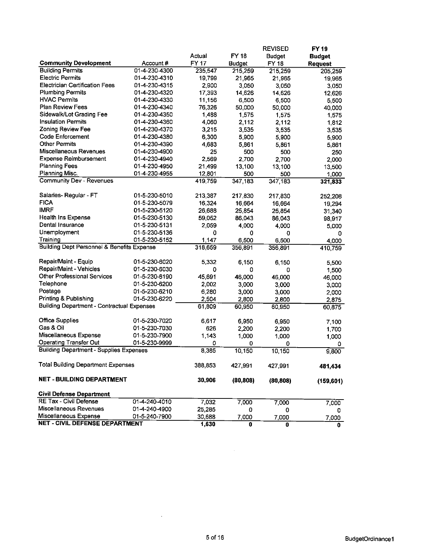|                                                         |                                |         |               | <b>REVISED</b> | <b>FY 19</b>   |
|---------------------------------------------------------|--------------------------------|---------|---------------|----------------|----------------|
|                                                         | Account#                       | Actual  | <b>FY 18</b>  | <b>Budget</b>  | <b>Budget</b>  |
| <b>Community Development</b><br><b>Building Permits</b> | 01-4-230-4300                  | FY 17   | <b>Budget</b> | <b>FY 18</b>   | <b>Request</b> |
| <b>Electric Permits</b>                                 | 01-4-230-4310                  | 235,547 | 215,259       | 215,259        | 205,259        |
| <b>Electrician Certification Fees</b>                   | 01-4-230-4315                  | 19,799  | 21,965        | 21,965         | 19,965         |
| <b>Plumbing Permits</b>                                 | 01-4-230-4320                  | 2,900   | 3,050         | 3,050          | 3,050          |
| <b>HVAC Permits</b>                                     |                                | 17,393  | 14,626        | 14 6 26        | 12,626         |
| <b>Plan Review Fees</b>                                 | 01-4-230-4330                  | 11,156  | 6,500         | 6,500          | 5,500          |
| Sidewalk/Lot Grading Fee                                | 01-4-230-4340<br>01-4-230-4350 | 76,326  | 50,000        | 50,000         | 40,000         |
|                                                         |                                | 1,488   | 1.575         | 1.575          | 1,575          |
| <b>Insulation Permits</b>                               | 01-4-230-4360                  | 4,060   | 2,112         | 2,112          | 1,812          |
| <b>Zoning Review Fee</b>                                | 01-4-230-4370                  | 3,215   | 3,535         | 3.535          | 3,535          |
| Code Enforcement                                        | 01-4-230-4380                  | 6,300   | 5,900         | 5.900          | 5,900          |
| <b>Other Permits</b>                                    | 01-4-230-4390                  | 4,683   | 5,861         | 5861           | 5,861          |
| Miscellaneous Revenues                                  | 01-4-230-4900                  | 25      | 500           | 500            | 250            |
| <b>Expense Reimbursement</b>                            | 01-4-230-4940                  | 2,569   | 2,700         | 2,700          | 2.000          |
| <b>Planning Fees</b>                                    | 01-4-230-4950                  | 21,499  | 13,100        | 13.100         | 13,500         |
| Planning Misc.                                          | 01-4-230-4955                  | 12,801  | 500           | 500            | 1,000          |
| <b>Community Dev - Revenues</b>                         |                                | 419,759 | 347,183       | 347 183        | 321,833        |
| Salaries-Regular - FT                                   | 01-5-230-5010                  | 213,387 | 217.830       | 217830         | 252,208        |
| <b>FICA</b>                                             | 01-5-230-5079                  | 16,324  | 16,664        | 16,664         | 19,294         |
| <b>IMRF</b>                                             | 01-5-230-5120                  | 26,688  | 25,854        | 25.854         | 31,340         |
| Health Ins Expense                                      | 01-5-230-5130                  | 59,052  | 86,043        | 86,043         | 98,917         |
| Dental Insurance                                        | 01-5-230-5131                  | 2,059   | 4,000         | 4.000          | 5,000          |
| Unemployment                                            | 01-5-230-5136                  | ٥       | 0             | 0              | 0              |
| Training                                                | 01-5-230-5152                  | 1,147   | 6,500         | 6,500          | 4,000          |
| Building Dept Personnel & Benefits Expense              |                                | 318,659 | 356,891       | 356,891        | 410,759        |
|                                                         |                                |         |               |                |                |
| Repair/Maint - Equip                                    | 01-5-230-6020                  | 5,332   | 6,150         | 6,150          | 5,500          |
| Repair/Maint - Vehicles                                 | 01-5-230-6030                  | o       | 0             | 0              | 1,500          |
| <b>Other Professional Services</b>                      | 01-5-230-6190                  | 45,691  | 46,000        | 46,000         | 46,000         |
| Telephone                                               | 01-5-230-6200                  | 2,002   | 3,000         | 3,000          | 3,000          |
| Postage                                                 | 01-5-230-6210                  | 6,280   | 3,000         | 3,000          | 2,000          |
| Printing & Publishing                                   | 01-5-230-6220                  | 2,504   | 2,800         | 2.800          | 2,875          |
| <b>Building Department - Contractual Expenses</b>       |                                | 61,809  | 60,950        | 60 950         | 60,875         |
|                                                         |                                |         |               |                |                |
| <b>Office Supplies</b>                                  | 01-5-230-7020                  | 6,617   | 6,950         | 6,950          | 7,100          |
| Gas & Oil                                               | 01-5-230-7030                  | 626     | 2,200         | 2,200          | 1,700          |
| Miscellaneous Expense                                   | 01-5-230-7900                  | 1,143   | 1,000         | 1,000          | 1,000          |
| <b>Operating Transfer Out</b>                           | 01-5-230-9999                  | 0       | 0             | 0              | 0              |
| <b>Building Department - Supplies Expenses</b>          |                                | 8,385   | 10,150        | 10.150         | 9,800          |
| <b>Total Building Department Expenses</b>               |                                | 388,853 | 427,991       | 427,991        | 481,434        |
| <b>NET - BUILDING DEPARTMENT</b>                        |                                | 30,906  | (80, 808)     | (80, 808)      | (159, 601)     |
| <b>Civil Defense Department</b>                         |                                |         |               |                |                |
| RE Tax - Civil Defense                                  | 01-4-240-4010                  | 7,032   | 7,000         | 7,000          | 7,000          |
| Miscellaneous Revenues                                  | 01-4-240-4900                  | 25,285  | 0             | 0              | 0              |
| Miscellaneous Expense                                   | 01-5-240-7900                  | 30,688  | 7,000         | 7,000          | 7,000          |
| <b>NET - CIVIL DEFENSE DEPARTMENT</b>                   |                                | 1,630   | 0             | 0              | 0              |

 $\sim$ 

 $\mathcal{A}^{\pm}$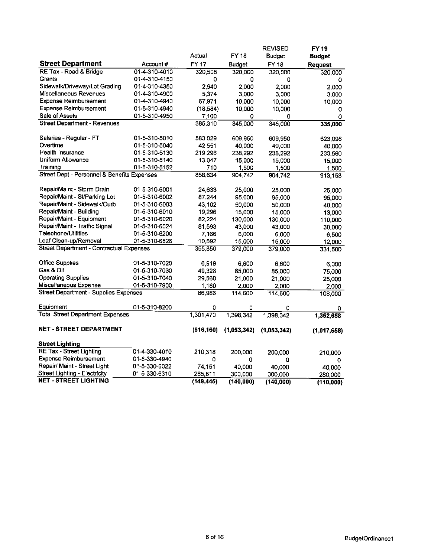|                                                 |               |            |               | <b>REVISED</b> | <b>FY 19</b> |
|-------------------------------------------------|---------------|------------|---------------|----------------|--------------|
|                                                 |               | Actual     | <b>FY 18</b>  | <b>Budget</b>  | Budget       |
| <b>Street Department</b>                        | Account#      | FY 17      | <b>Budget</b> | FY 18          | Request      |
| RE Tax - Road & Bridge                          | 01-4-310-4010 | 320,508    | 320,000       | 320,000        | 320,000      |
| Grants                                          | 01-4-310-4150 | 0          | 0             | 0              | 0            |
| Sidewalk/Driveway/Lot Grading                   | 01-4-310-4350 | 2.940      | 2,000         | 2.000          | 2.000        |
| Miscellaneous Revenues                          | 01-4-310-4900 | 5,374      | 3,000         | 3,000          | 3,000        |
| <b>Expense Reimbursement</b>                    | 01-4-310-4940 | 67,971     | 10,000        | 10,000         | 10,000       |
| <b>Expense Reimbursement</b>                    | 01-5-310-4940 | (18, 584)  | 10,000        | 10,000         | 0            |
| Sale of Assets                                  | 01-5-310-4950 | 7,100      | 0             | 0              | 0            |
| <b>Street Department - Revenues</b>             |               | 385,310    | 345,000       | 345,000        | 335,000      |
|                                                 |               |            |               |                |              |
| Salaries - Regular - FT                         | 01-5-310-5010 | 583,029    | 609,950       | 609,950        | 623,098      |
| Overtime                                        | 01-5-310-5040 | 42,551     | 40,000        | 40,000         | 40,000       |
| Health Insurance                                | 01-5-310-5130 | 219,296    | 238,292       | 238,292        | 233,560      |
| Uniform Allowance                               | 01-5-310-5140 | 13,047     | 15,000        | 15,000         | 15,000       |
| Training                                        | 01-5-310-5152 | 710        | 1,500         | 1.500          | 1,500        |
| Street Dept - Personnel & Benefits Expenses     |               | 858,634    | 904,742       | 904742         | 913,158      |
|                                                 |               |            |               |                |              |
| Repair/Maint - Storm Drain                      | 01-5-310-6001 | 24,633     | 25,000        | 25,000         | 25,000       |
| Repair/Maint - St/Parking Lot                   | 01-5-310-6002 | 87,244     | 95,000        | 95.000         | 95,000       |
| Repair/Maint - Sidewalk/Curb                    | 01-5-310-6003 | 43,102     | 50,000        | 50.000         | 40,000       |
| Repair/Maint - Building                         | 01-5-310-6010 | 19,296     | 15,000        | 15 000         | 13,000       |
| Repair/Maint - Equipment                        | 01-5-310-6020 | 82,224     | 130,000       | 130,000        | 110,000      |
| Repair/Maint - Traffic Signal                   | 01-5-310-6024 | 81,593     | 43,000        | 43,000         | 30,000       |
| Telephone/Utilities                             | 01-5-310-6200 | 7,166      | 6,000         | 6,000          | 6,500        |
| Leaf Clean-up/Removal                           | 01-5-310-6826 | 10,592     | 15,000        | 15,000         | 12,000       |
| <b>Street Department - Contractual Expenses</b> |               | 355,850    | 379,000       | 379,000        | 331,500      |
|                                                 |               |            |               |                |              |
| <b>Office Supplies</b>                          | 01-5-310-7020 | 6,919      | 6,600         | 6 600          | 6,000        |
| Gas & Oil                                       | 01-5-310-7030 | 49,328     | 85,000        | 85 000         | 75,000       |
| <b>Operating Supplies</b>                       | 01-5-310-7040 | 29,560     | 21,000        | 21,000         | 25,000       |
| Miscellaneous Expense                           | 01-5-310-7900 | 1,180      | 2,000         | 2,000          | 2,000        |
| <b>Street Department - Supplies Expenses</b>    |               | 86,986     | 114,600       | 114,600        | 108,000      |
| Equipment                                       | 01-5-310-8200 | ٥          | ٥             | 0              | 0            |
| <b>Total Street Department Expenses</b>         |               | 1,301,470  | 1,398,342     | 1,398,342      | 1,352,658    |
|                                                 |               |            |               |                |              |
| <b>NET - STREET DEPARTMENT</b>                  |               | (916, 160) | (1,053,342)   | (1.053.342)    | (1,017,658)  |
|                                                 |               |            |               |                |              |
| <b>Street Lighting</b>                          |               |            |               |                |              |
| <b>RE Tax - Street Lighting</b>                 | 01-4-330-4010 | 210,318    | 200.000       | 200,000        | 210,000      |
| <b>Expense Reimbursement</b>                    | 01-5-330-4940 | ٥          | O             | 0              | 0            |
| Repair/ Maint - Street Light                    | 01-5-330-6022 | 74,151     | 40.000        | 40.000         | 40,000       |
| <b>Street Lighting - Electricity</b>            | 01-5-330-6310 | 285,611    | 300.000       | 300,000        | 280,000      |
| <b>NET - STREET LIGHTING</b>                    |               | (149, 445) | (140, 000)    | (140,000)      | (110,000)    |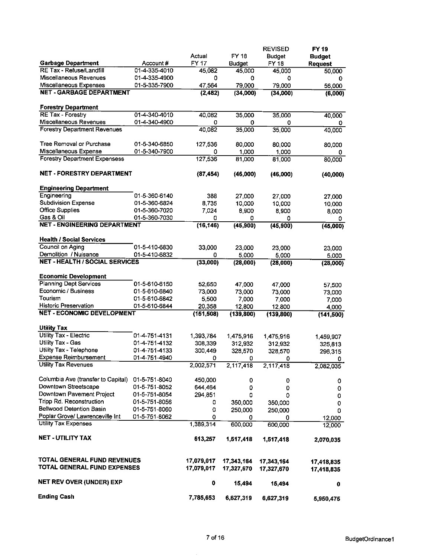|                                                      |               |            |               | <b>REVISED</b> | FY 19          |
|------------------------------------------------------|---------------|------------|---------------|----------------|----------------|
|                                                      |               | Actual     | FY 18         | <b>Budget</b>  | <b>Budget</b>  |
| <b>Garbage Department</b>                            | Account#      | FY 17      | <b>Budget</b> | FY 18          | <b>Request</b> |
| RE Tax - Refuse/Landfill                             | 01-4-335-4010 | 45,082     | 45,000        | 45,000         | 50,000         |
| Miscellaneous Revenues                               | 01-4-335-4900 | 0          | 0             | 0              | 0              |
| Miscellaneous Expenses                               | 01-5-335-7900 | 47,564     | 79,000        | 79,000         | 56,000         |
| <b>NET - GARBAGE DEPARTMENT</b>                      |               | (2,482)    | (34,000)      | (34,000)       | (6,000)        |
|                                                      |               |            |               |                |                |
| <b>Forestry Department</b>                           |               |            |               |                |                |
| RE Tax - Forestry                                    | 01-4-340-4010 | 40,082     | 35,000        | 35,000         | 40,000         |
| Miscellaneous Revenues                               | 01-4-340-4900 | 0          | 0             | 0              | 0              |
| <b>Forestry Department Revenues</b>                  |               | 40,082     | 35,000        | 35,000         | 40,000         |
| Tree Removal or Purchase                             |               |            |               |                |                |
|                                                      | 01-5-340-6850 | 127,536    | 80,000        | 80,000         | 80,000         |
| Miscellaneous Expense                                | 01-5-340-7900 | ٥          | 1,000         | 1,000          | 0              |
| <b>Forestry Department Expensess</b>                 |               | 127,536    | 81,000        | 81,000         | 80,000         |
| <b>NET - FORESTRY DEPARTMENT</b>                     |               |            |               |                |                |
|                                                      |               | (87, 454)  | (46,000)      | (46,000)       | (40,000)       |
| <b>Engineering Department</b>                        |               |            |               |                |                |
| Engineering                                          | 01-5-360-6140 | 388        | 27.000        | 27,000         | 27,000         |
| <b>Subdivision Expense</b>                           | 01-5-360-6824 | 8,735      | 10,000        | 10,000         | 10,000         |
| <b>Office Supplies</b>                               | 01-5-360-7020 | 7,024      | 8,900         | 8,900          | 8,000          |
| Gas & Oil                                            | 01-5-360-7030 | 0          | 0             | 0              | ٥              |
| <b>NET - ENGINEERING DEPARTMENT</b>                  |               | (16, 146)  | (45, 900)     | (45, 900)      | (45,000)       |
|                                                      |               |            |               |                |                |
| <b>Health / Social Services</b>                      |               |            |               |                |                |
| Council on Aging                                     | 01-5-410-6830 | 33,000     | 23,000        | 23,000         | 23,000         |
| Demolition / Nuisance                                | 01-5-410-6832 | 0          | 5,000         | 5,000          | 5,000          |
| <b>NET - HEALTH / SOCIAL SERVICES</b>                |               | (33,000)   | (28,000)      | (28,000)       | (28,000)       |
|                                                      |               |            |               |                |                |
| <b>Economic Development</b>                          |               |            |               |                |                |
| <b>Planning Dept Services</b>                        | 01-5-610-6150 | 52,650     | 47,000        | 47,000         | 57,500         |
| Economic / Business                                  | 01-5-610-6840 | 73,000     | 73,000        | 73,000         | 73,000         |
| Tourism                                              | 01-5-610-6842 | 5,500      | 7,000         | 7,000          | 7,000          |
| <b>Historic Preservation</b>                         | 01-5-610-6844 | 20,358     | 12,800        | 12,800         | 4,000          |
| <b>NET - ECONOMIC DEVELOPMENT</b>                    |               | (151, 508) | (139, 800)    | (139, 800)     | (141, 500)     |
|                                                      |               |            |               |                |                |
| <b>Utility Tax</b>                                   |               |            |               |                |                |
| Utility Tax - Electric                               | 01-4-751-4131 | 1,393,784  | 1,475,916     | 1,475,916      | 1,459,907      |
| Utility Tax - Gas                                    | 01-4-751-4132 | 308,339    | 312,932       | 312,932        | 325,813        |
| Utility Tax - Telephone                              | 01-4-751-4133 | 300,449    | 328,570       | 328,570        | 296,315        |
| <b>Expense Reimbursement</b>                         | 01-4-751-4940 | 0          | 0             | 0              | 0              |
| Utility Tax Revenues                                 |               | 2,002,571  | 2,117,418     | 2,117,418      | 2,082,035      |
| Columbia Ave (transfer to Capital)                   |               |            |               |                |                |
| Downtown Streetscape                                 | 01-5-751-8040 | 450,000    | 0             | 0              | 0              |
| Downtown Pavement Project                            | 01-5-751-8052 | 644,464    | 0             | 0              | 0              |
|                                                      | 01-5-751-8054 | 294,851    | 0             | 0              | 0              |
| Tripp Rd. Reconstruction<br>Bellwood Detention Basin | 01-5-751-8056 | 0          | 350,000       | 350,000        | 0              |
| Poplar Grove/ Lawrenceville Int                      | 01-5-751-8060 | 0          | 250,000       | 250,000        | 0              |
| <b>Utility Tax Expenses</b>                          | 01-5-751-8062 | 0          | 0             | 0              | 12,000         |
|                                                      |               | 1,389,314  | 600,000       | 600,000        | 12,000         |
| <b>NET - UTILITY TAX</b>                             |               | 613,257    |               |                |                |
|                                                      |               |            | 1,517,418     | 1,517,418      | 2,070,035      |
| TOTAL GENERAL FUND REVENUES                          |               | 17,079,017 | 17,343,164    | 17,343,164     | 17,418,835     |
| TOTAL GENERAL FUND EXPENSES                          |               | 17,079,017 | 17,327,670    | 17,327,670     | 17,418,835     |
| NET REV OVER (UNDER) EXP                             |               | 0          | 15,494        | 15,494         | 0              |
| Ending Cash                                          |               | 7,785,653  | 6,627,319     | 6,627,319      | 5,950,475      |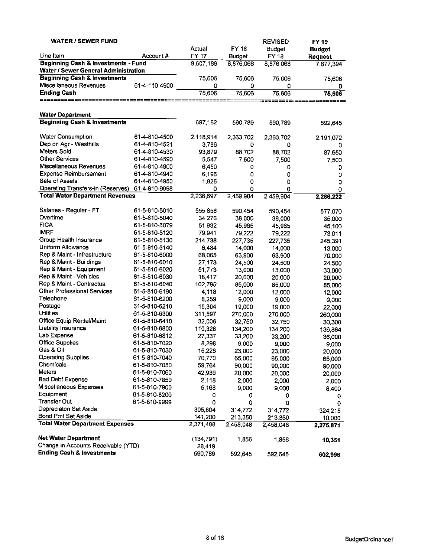| <b>WATER / SEWER FUND</b>                      |                                |              |                   | <b>REVISED</b> | <b>FY 19</b>   |
|------------------------------------------------|--------------------------------|--------------|-------------------|----------------|----------------|
|                                                |                                | Actual       | <b>FY 18</b>      | <b>Budget</b>  | <b>Budget</b>  |
| Line Item                                      | Account#                       | <b>FY 17</b> | <b>Budget</b>     | <b>FY 18</b>   | <b>Request</b> |
| <b>Beginning Cash &amp; Investments - Fund</b> |                                | 9,607,189    | 8,876,068         | 8,876,068      | 7,877,394      |
| Water / Sewer General Administration           |                                |              |                   |                |                |
| <b>Beginning Cash &amp; Investments</b>        |                                | 75,606       | 75,606            | 75,606         | 75,606         |
| Miscellaneous Revenues                         | 61-4-110-4900                  | 0            | 0                 | 0              | 0              |
| <b>Ending Cash</b>                             |                                | 75,606       | 75,606            | 75,606         | 75,606         |
| ==========                                     |                                | =====        |                   |                |                |
|                                                |                                |              |                   |                |                |
| <b>Water Department</b>                        |                                |              |                   |                |                |
| <b>Beginning Cash &amp; Investments</b>        |                                | 697,162      | 590,789           | 590,789        | 592,645        |
|                                                |                                |              |                   |                |                |
| <b>Water Consumption</b>                       | 61-4-810-4500                  | 2,118,914    | 2,363,702         | 2,363,702      | 2,191,072      |
| Dep on Agr - Westhills<br>Meters Sold          | 61-4-810-4521                  | 3,786        | 0                 | 0              | 0              |
|                                                | 61-4-810-4530                  | 93,879       | 88,702            | 88,702         | 87,650         |
| <b>Other Services</b>                          | 61-4-810-4590                  | 5,547        | 7,500             | 7,500          | 7,500          |
| Miscellaneous Revenues                         | 61-4-810-4900                  | 6,450        | 0                 | 0              | 0              |
| <b>Expense Reimbursement</b>                   | 61-4-810-4940                  | 6,196        | 0                 | 0              | 0              |
| Sale of Assets                                 | 61-4-810-4950                  | 1,925        | 0                 | ٥              | 0              |
| Operating Transfers-in (Reserves)              | 61-4-810-9998                  | 0            | 0                 | 0              | 0              |
| <b>Total Water Department Revenues</b>         |                                | 2,236,697    | 2,459,904         | 2,459,904      | 2,286,222      |
| Salaries - Regular - FT                        | 61-5-810-5010                  | 555,858      | 590,454           | 590,454        |                |
| Overtime                                       | 61-5-810-5040                  | 34,276       | 38,000            |                | 577,070        |
| <b>FICA</b>                                    | 61-5-810-5079                  | 51,932       | 45,965            | 38,000         | 35,000         |
| <b>IMRF</b>                                    | 61-5-810-5120                  | 79,941       |                   | 45,965         | 45,100         |
| Group Health Insurance                         | 61-5-810-5130                  |              | 79,222<br>227,735 | 79 222         | 73,011         |
| Uniform Allowance                              | 61-5-810-5140                  | 214,738      |                   | 227,735        | 245,391        |
| Rep & Maint - Infrastructure                   |                                | 6,484        | 14,000            | 14,000         | 13,000         |
| Rep & Maint - Buildings                        | 61-5-810-6000                  | 68,065       | 63,900            | 63,900         | 70,000         |
| Rep & Maint - Equipment                        | 61-5-810-6010<br>61-5-810-6020 | 27,173       | 24,500            | 24,500         | 24,500         |
| Rep & Maint - Vehicles                         |                                | 51,773       | 13,000            | 13,000         | 33,000         |
| Rep & Maint - Contractual                      | 61-5-810-6030                  | 18,417       | 20,000            | 20 000         | 20,000         |
| <b>Other Professional Services</b>             | 61-5-810-6040                  | 102,795      | 85,000            | 85,000         | 85,000         |
| Telephone                                      | 61-5-810-6190                  | 4,118        | 12,000            | 12,000         | 12,000         |
|                                                | 61-5-810-6200                  | 8,259        | 9,000             | 9,000          | 9,000          |
| Postage<br>Utilities                           | 61-5-810-6210                  | 15,304       | 19,000            | 19,000         | 22,000         |
|                                                | 61-5-810-6300                  | 311,597      | 270,000           | 270,000        | 260,000        |
| Office Equip Rental/Maint                      | 61-5-810-6410                  | 32,006       | 32 750            | 32750          | 30,300         |
| Liability Insurance                            | 61-5-810-6800                  | 110,328      | 134,200           | 134,200        | 136,884        |
| Lab Expense                                    | 61-5-810-6812                  | 27,337       | 33,200            | 33,200         | 36,000         |
| <b>Office Supplies</b>                         | 61-5-810-7020                  | 8,298        | 9,000             | 9,000          | 9,000          |
| Gas & Oil                                      | 61-5-810-7030                  | 15,226       | 23,000            | 23.000         | 20,000         |
| <b>Operating Supplies</b>                      | 61-5-810-7040                  | 70,770       | 65,000            | 65,000         | 65,000         |
| Chemicals                                      | 61-5-810-7050                  | 59,764       | 90,000            | 90,000         | 90,000         |
| Meters                                         | 61-5-810-7060                  | 42,939       | 20,000            | 20,000         | 20,000         |
| <b>Bad Debt Expense</b>                        | 61-5-810-7850                  | 2,118        | 2,000             | 2,000          | 2,000          |
| Miscellaneous Expenses                         | 61-5-810-7900                  | 5,168        | 9,000             | 9.000          | 8,400          |
| Equipment                                      | 61-5-810-8200                  | 0            | 0                 | 0              | 0              |
| <b>Transfer Out</b>                            | 61-5-810-9999                  | 0            | 0                 | 0              | 0              |
| Depreciaton Set Aside                          |                                | 305,604      | 314,772           | 314,772        | 324 215        |
| Bond Pmt Set Aside                             |                                | 141,200      | 213 350           | 213,350        | 10,000         |
| <b>Total Water Department Expenses</b>         |                                | 2,371,488    | 2,458,048         | 2,458,048      | 2,275,871      |
| Net Water Department                           |                                |              |                   |                |                |
| Change in Accounts Receivable (YTD)            |                                | (134, 791)   | 1,856             | 1,856          | 10,351         |
| <b>Ending Cash &amp; Investments</b>           |                                | 28,419       |                   |                |                |
|                                                |                                | 590,789      | 592,645           | 592,645        | 602,996        |

 $\sim$   $\sim$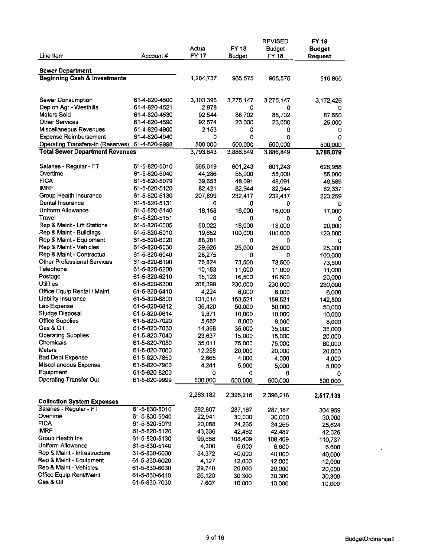| Line Item                               | Account#                       | Actual<br>FY 17 | <b>FY 18</b><br><b>Budget</b> | <b>REVISED</b><br><b>Budget</b><br><b>FY 18</b> | <b>FY 19</b><br><b>Budget</b><br><b>Request</b> |
|-----------------------------------------|--------------------------------|-----------------|-------------------------------|-------------------------------------------------|-------------------------------------------------|
|                                         |                                |                 |                               |                                                 |                                                 |
| <b>Sewer Department</b>                 |                                |                 |                               |                                                 |                                                 |
| <b>Beginning Cash &amp; Investments</b> |                                | 1,284,737       | 965,575                       | 965,575                                         | 516,865                                         |
|                                         |                                |                 |                               |                                                 |                                                 |
|                                         |                                |                 |                               |                                                 |                                                 |
| Sewer Consumption                       | 61-4-820-4500<br>61-4-820-4521 | 3,103,395       | 3,275,147                     | 3,275,147                                       | 3,172,429                                       |
| Dep on Agr - Westhills<br>Meters Sold   | 61-4-820-4530                  | 2,978<br>92,544 | 0                             | 0                                               | 0                                               |
| Other Services                          | 61-4-820-4590                  |                 | 88,702                        | 88,702                                          | 87,650                                          |
| Miscellaneous Revenues                  | 61-4-820-4900                  | 92,574<br>2,153 | 23,000<br>0                   | 23,000                                          | 25,000                                          |
| <b>Expense Reimbursement</b>            | 61-4-820-4940                  | 0               | 0                             | 0<br>0                                          | 0<br>0                                          |
| Operating Transfers-In (Reserves)       | 61-4-820-9998                  | 500,000         | 500,000                       | 500 000                                         | 500,000                                         |
| <b>Total Sewer Department Revenues</b>  |                                | 3,793,643       | 3,886,849                     | 3,886.849                                       | 3,785,079                                       |
|                                         |                                |                 |                               |                                                 |                                                 |
| Salaries - Regular - FT                 | 61-5-820-5010                  | 565,019         | 601,243                       | 601,243                                         | 626,958                                         |
| Overtime                                | 61-5-820-5040                  | 44,286          | 55,000                        | 55,000                                          | 55,000                                          |
| <b>FICA</b>                             | 61-5-820-5079                  | 39,653          | 48,091                        | 48,091                                          | 49,585                                          |
| <b>IMRF</b>                             | 61-5-820-5120                  | 82,421          | 82,944                        | 82,944                                          | 82,337                                          |
| Group Health Insurance                  | 61-5-820-5130                  | 207,899         | 232,417                       | 232,417                                         | 223,259                                         |
| Dental Insurance                        | 61-5-820-5131                  | 0               | 0                             | 0                                               | 0                                               |
| Uniform Allowance                       | 61-5-820-5140                  | 18,158          | 16,000                        | 16,000                                          | 17,000                                          |
| Travel                                  | 61-5-820-5151                  | 0               | 0                             | 0                                               | o                                               |
| Rep & Maint - Lift Stations             | 61-5-820-6005                  | 50,022          | 18,000                        | 18,000                                          | 20,000                                          |
| Rep & Maint - Buildings                 | 61-5-820-6010                  | 19,652          | 100,000                       | 100,000                                         | 123,000                                         |
| Rep & Maint - Equipment                 | 61-5-820-6020                  | 88,281          | 0                             | 0                                               | 0                                               |
| Rep & Maint - Vehicles                  | 61-5-820-6030                  | 29,626          | 25,000                        | 25.000                                          | 25,000                                          |
| Rep & Maint - Contractual               | 61-5-820-6040                  | 28,275          | 0                             | 0                                               | 100,000                                         |
| Other Professional Services             | 61-5-820-6190                  | 76,824          | 73,500                        | 73,500                                          | 73,500                                          |
| Telephone                               | 61-5-820-6200                  | 10,153          | 11,000                        | 11,000                                          | 11,000                                          |
| Postage                                 | 61-5-820-6210                  | 15,123          | 16,500                        | 16,500                                          | 20,000                                          |
| Utilities                               | 61-5-820-6300                  | 208,399         | 230,000                       | 230,000                                         | 230,000                                         |
| Office Equip Rental / Maint             | 61-5-820-6410                  | 4,224           | 6,000                         | 6,000                                           | 6,000                                           |
| <b>Liability Insurance</b>              | 61-5-820-6800                  | 131,014         | 158,521                       | 158,521                                         | 142,500                                         |
| Lab Expense                             | 61-5-820-6812                  | 36,420          | 50,000                        | 50,000                                          | 50,000                                          |
| Sludge Disposal                         | 61-5-820-6814                  | 9,871           | 10,000                        | 10,000                                          | 10,000                                          |
| <b>Office Supplies</b>                  | 61-5-820-7020                  | 5,682           | 8,000                         | 8,000                                           | 8,000                                           |
| Gas & Oil                               | 61-5-820-7030                  | 14,368          | 35,000                        | 35,000                                          | 35 000                                          |
| <b>Operating Supplies</b>               | 61-5-820-7040                  | 23,637          | 15,000                        | 15,000                                          | 20,000                                          |
| Chemicals                               | 61-5-820-7050                  | 35,011          | 75,000                        | 75,000                                          | 60,000                                          |
| Meters                                  | 61-5-820-7060                  | 12,258          | 20,000                        | 20,000                                          | 20,000                                          |
| <b>Bad Debt Expense</b>                 | 61-5-820-7850                  | 2,665           | 4,000                         | 4,000                                           | 4,000                                           |
| Miscellaneous Expense<br>Equipment      | 61-5-820-7900                  | 4.241           | 5,000                         | 5.000                                           | 5,000                                           |
|                                         | 61-5-820-8200                  | 0               | 0                             | 0                                               | 0                                               |
| <b>Operating Transfer Out</b>           | 61-5-820-9999                  | 500,000         | 500,000                       | 500,000                                         | 500,000                                         |
|                                         |                                |                 |                               |                                                 |                                                 |
| <b>Collection System Expenses</b>       |                                | 2,263,182       | 2,396,216                     | 2,396,216                                       | 2,517,139                                       |
| Salaries - Regular - FT                 | 61-5-830-5010                  | 282,807         | 287.187                       |                                                 |                                                 |
| Overtime                                | 61-5-830-5040                  | 22,941          | 30,000                        | 287 187<br>30,000                               | 304,959                                         |
| <b>FICA</b>                             | 61-5-820-5079                  | 20,088          | 24,265                        | 24,265                                          | 30,000                                          |
| <b>IMRF</b>                             | 61-5-820-5120                  | 43,336          | 42,482                        | 42,482                                          | 25,624                                          |
| Group Health Ins                        | 61-5-820-5130                  | 99,658          | 108,409                       | 108,409                                         | 42,026<br>110,737                               |
| Uniform Allowance                       | 61-5-830-5140                  | 4,300           | 6,600                         | 6,600                                           | 6,600                                           |
| Rep & Maint - Infrastructure            | 61-5-830-6000                  | 34,372          | 40,000                        | 40,000                                          | 40,000                                          |
| Rep & Maint - Equipment                 | 61-5-830-6020                  | 4,127           | 12,000                        | 12,000                                          | 12,000                                          |
| Rep & Maint - Vehicles                  | 61-5-830-6030                  | 29,748          | 20,000                        | 20,000                                          | 20,000                                          |
| Office Equip Rent/Maint                 | 61-5-830-6410                  | 26,120          | 30,300                        | 30,300                                          | 30,300                                          |
| Gas & Oil                               | 61-5-830-7030                  | 7,607           | 10,000                        | 10,000                                          | 10.000                                          |
|                                         |                                |                 |                               |                                                 |                                                 |

 $\bar{\mathcal{A}}$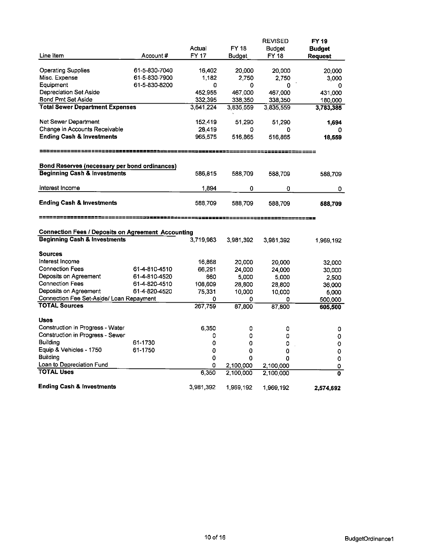|                                                           |               |           |               | <b>REVISED</b>     | FY 19                   |
|-----------------------------------------------------------|---------------|-----------|---------------|--------------------|-------------------------|
|                                                           |               | Actual    | FY 18         | <b>Budget</b>      | <b>Budget</b>           |
| Line Item                                                 | Account#      | FY 17     | <b>Budget</b> | FY 18              | <b>Request</b>          |
|                                                           |               |           |               |                    |                         |
| <b>Operating Supplies</b>                                 | 61-5-830-7040 | 16,402    | 20,000        | 20,000             | 20,000                  |
| Misc. Expense                                             | 61-5-830-7900 | 1,182     | 2,750         | 2.750              | 3,000                   |
| Equipment                                                 | 61-5-830-8200 | 0         | 0             | 0                  | 0                       |
| Depreciation Set Aside                                    |               | 452,955   | 467,000       | 467,000            | 431,000                 |
| Bond Pmt Set Aside                                        |               | 332,395   | 338,350       | 338,350            | 180,000                 |
| <b>Total Sewer Department Expenses</b>                    |               | 3,641,224 | 3,835,559     | 3,835,559          | 3,783,385               |
|                                                           |               |           |               |                    |                         |
| Net Sewer Department                                      |               | 152,419   | 51,290        | 51,290             | 1,694                   |
| Change in Accounts Receivable                             |               | 28,419    | 0             | 0                  |                         |
| <b>Ending Cash &amp; Investments</b>                      |               | 965,575   | 516,865       | 516.865            | 18,559                  |
| -----------------                                         |               |           |               | -------------      |                         |
| Bond Reserves (necessary per bond ordinances)             |               |           |               |                    |                         |
| <b>Beginning Cash &amp; Investments</b>                   |               | 586,815   | 588,709       | 588,709            | 588,709                 |
|                                                           |               |           |               |                    |                         |
| interest Income                                           |               | 1,894     | 0             | 0                  | 0                       |
|                                                           |               |           |               |                    |                         |
| <b>Ending Cash &amp; Investments</b>                      |               | 588,709   | 588,709       | 588.709            | 588,709                 |
|                                                           |               |           |               |                    |                         |
|                                                           |               |           |               | ================== |                         |
| <b>Connection Fees / Deposits on Agreement Accounting</b> |               |           |               |                    |                         |
| <b>Beginning Cash &amp; Investments</b>                   |               | 3,719,983 | 3,981,392     | 3,981 392          | 1,969,192               |
|                                                           |               |           |               |                    |                         |
| <b>Sources</b>                                            |               |           |               |                    |                         |
| Interest Income                                           |               | 16,868    | 20,000        | 20,000             | 32,000                  |
| <b>Connection Fees</b>                                    | 61-4-810-4510 | 66,291    | 24,000        | 24,000             | 30,000                  |
| Deposits on Agreement                                     | 61-4-810-4520 | 660       | 5,000         | 5,000              | 2,500                   |
| <b>Connection Fees</b>                                    | 61-4-820-4510 | 108,609   | 28,800        | 28,800             | 36,000                  |
| Deposits on Agreement                                     | 61-4-820-4520 | 75,331    | 10,000        | 10,000             | 5,000                   |
| Connection Fee Set-Aside/ Loan Repayment                  |               | 0         | 0             | 0                  | 500,000                 |
| <b>TOTAL Sources</b>                                      |               |           |               |                    | 605,500                 |
|                                                           |               | 267,759   | 87,800        | 87,800             |                         |
|                                                           |               |           |               |                    |                         |
| <b>Uses</b>                                               |               |           |               |                    |                         |
| Construction in Progress - Water                          |               | 6,350     | 0             | 0                  | 0                       |
| Construction in Progress - Sewer                          |               | 0         | 0             | 0                  | 0                       |
| <b>Building</b>                                           | 61-1730       | 0         | 0             | 0                  | 0                       |
| Equip & Vehicles - 1750                                   | 61-1750       | 0         | 0             | 0                  | 0                       |
| <b>Building</b>                                           |               | 0         | 0             | 0                  | 0                       |
| Loan to Depreciation Fund                                 |               | ٥         | 2,100,000     | 2,100,000          | 0                       |
| <b>TOTAL Uses</b>                                         |               | 6,350     | 2,100,000     | 2,100,000          | $\overline{\mathbf{0}}$ |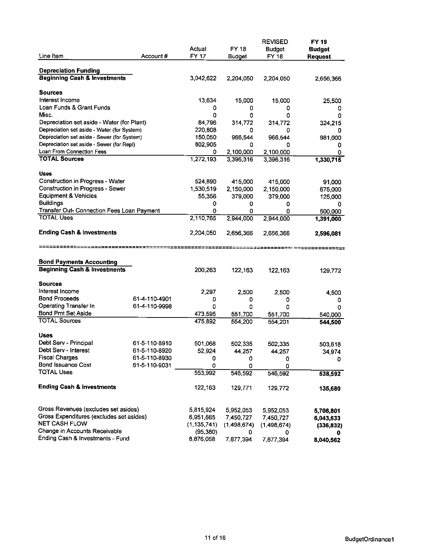| Line Item                                                              | Account#      | Actual<br><b>FY 17</b> | <b>FY 18</b>           | <b>REVISED</b><br><b>Budget</b><br>FY 18 | FY 19<br><b>Budget</b> |
|------------------------------------------------------------------------|---------------|------------------------|------------------------|------------------------------------------|------------------------|
|                                                                        |               |                        | <b>Budget</b>          |                                          | <b>Request</b>         |
| <b>Depreciation Funding</b>                                            |               |                        |                        |                                          |                        |
| <b>Beginning Cash &amp; Investments</b>                                |               | 3,042,622              | 2,204,050              | 2,204,050                                | 2,656,366              |
|                                                                        |               |                        |                        |                                          |                        |
| Sources                                                                |               |                        |                        |                                          |                        |
| Interest Income                                                        |               | 13,634                 | 15,000                 | 15,000                                   | 25,500                 |
| Loan Funds & Grant Funds                                               |               | 0                      | 0                      | 0                                        | 0                      |
| Misc.                                                                  |               | 0                      | 0                      | 0                                        | 0                      |
| Depreciation set aside - Water (for Plant)                             |               | 84,796                 | 314,772                | 314,772                                  | 324,215                |
| Depreciation set aside - Water (for System)                            |               | 220,808                | 0                      | ٥                                        | o                      |
| Depreciation set aside - Sewer (for System)                            |               | 150,050                | 966,544                | 966 544                                  | 981,000                |
| Depreciation set aside - Sewer (for Repl)<br>Loan From Connection Fees |               | 802,905                | 0                      | ٥                                        | 0                      |
| <b>TOTAL Sources</b>                                                   |               | 0<br>1,272,193         | 2,100,000<br>3,396,316 | 2,100,000<br>3,396,316                   | 0                      |
|                                                                        |               |                        |                        |                                          | 1,330,715              |
| <b>Uses</b>                                                            |               |                        |                        |                                          |                        |
| Construction in Progress - Water                                       |               | 524,890                | 415,000                | 415 000                                  | 91,000                 |
| Construction in Progress - Sewer                                       |               | 1,530,519              | 2,150,000              | 2,150,000                                | 675,000                |
| <b>Equipment &amp; Vehicles</b>                                        |               | 55,356                 | 379,000                | 379,000                                  | 125,000                |
| <b>Buildings</b>                                                       |               | 0                      | 0                      | 0                                        | 0                      |
| Transfer Out- Connection Fees Loan Payment                             |               | 0                      | 0                      | 0                                        | 500,000                |
| <b>TOTAL Uses</b>                                                      |               | 2,110,765              | 2,944,000              | 2,944,000                                | 1,391,000              |
|                                                                        |               |                        |                        |                                          |                        |
| <b>Ending Cash &amp; Investments</b>                                   |               | 2,204,050              | 2,656,366              | 2,656,366                                | 2,596,081              |
|                                                                        |               |                        |                        |                                          |                        |
|                                                                        |               |                        |                        |                                          |                        |
| <b>Bond Payments Accounting</b>                                        |               |                        |                        |                                          |                        |
| <b>Beginning Cash &amp; Investments</b>                                |               | 200,263                | 122,163                | 122, 163                                 |                        |
|                                                                        |               |                        |                        |                                          | 129,772                |
| Sources                                                                |               |                        |                        |                                          |                        |
| Interest Income                                                        |               | 2,297                  | 2,500                  | 2,500                                    | 4,500                  |
| <b>Bond Proceeds</b>                                                   | 61-4-110-4901 | 0                      | 0                      | 0                                        | 0                      |
| Operating Transfer In                                                  | 61-4-110-9998 | 0                      | 0                      | ٥                                        | 0                      |
| <b>Bond Pmt Set Aside</b>                                              |               | 473,595                | 551,700                | 551,700                                  | 540.000                |
| <b>TOTAL Sources</b>                                                   |               | 475,892                | 554,200                | 554 201                                  | 544,500                |
|                                                                        |               |                        |                        |                                          |                        |
| <b>Uses</b>                                                            |               |                        |                        |                                          |                        |
| Debt Serv - Principal                                                  | 61-5-110-8910 | 501,068                | 502.335                | 502,335                                  | 503,618                |
| Debt Serv - Interest                                                   | 61-5-110-8920 | 52,924                 | 44 257                 | 44,257                                   | 34 974                 |
| <b>Fiscal Charges</b>                                                  | 61-5-110-8930 | 0                      | 0                      | 0                                        | 0                      |
| <b>Bond Issuance Cost</b>                                              | 61-5-110-9031 | ٥                      | 0                      | 0                                        |                        |
| <b>TOTAL Uses</b>                                                      |               | 553,992                | 546,592                | 546,592                                  | 538,592                |
|                                                                        |               |                        |                        |                                          |                        |
| <b>Ending Cash &amp; Investments</b>                                   |               | 122,163                | 129,771                | 129,772                                  | 135,680                |
|                                                                        |               |                        |                        |                                          |                        |
| Gross Revenues (excludes set asides)                                   |               | 5,815,924              | 5,952,053              | 5,952,053                                | 5,706,801              |
| Gross Expenditures (excludes set asides)<br><b>NET CASH FLOW</b>       |               | 6,951,665              | 7,450,727              | 7,450,727                                | 6,043,633              |
| Change in Accounts Receivable                                          |               | (1, 135, 741)          | (1,498,674)            | (1.498, 674)                             | (336, 832)             |
| Ending Cash & Investments - Fund                                       |               | (95, 380)              | 0                      | 0                                        |                        |
|                                                                        |               | 8,876,068              | 7,877,394              | 7,877,394                                | 8,040,562              |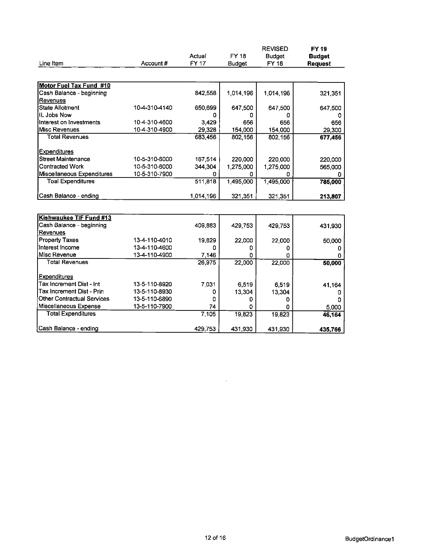|                                   |               |           |               | <b>REVISED</b> | FY 19          |
|-----------------------------------|---------------|-----------|---------------|----------------|----------------|
|                                   |               | Actual    | FY 18         | <b>Budget</b>  | <b>Budget</b>  |
| Line Item                         | Account#      | FY 17     | <b>Budget</b> | FY 18          | <b>Request</b> |
|                                   |               |           |               |                |                |
| Motor Fuel Tax Fund #10           |               |           |               |                |                |
| Cash Balance - beginning          |               | 842,558   | 1,014,196     | 1,014,196      | 321,351        |
| Revenues                          |               |           |               |                |                |
| <b>State Allotment</b>            | 10-4-310-4140 | 650,699   | 647,500       | 647,500        | 647,500        |
| IIL Jobs Now                      |               | o         | n             | o              |                |
| Interest on Investments           | 10-4-310-4600 | 3,429     | 656           | 656            | 656            |
| Misc Revenues                     | 10-4-310-4900 | 29,328    | 154,000       | 154,000        | 29,300         |
| <b>Total Revenues</b>             |               | 683,456   | 802,156       | 802 156        | 677,456        |
| Expenditures                      |               |           |               |                |                |
| <b>Street Maintenance</b>         | 10-5-310-6000 | 167,514   | 220,000       | 220,000        | 220,000        |
| <b>Contracted Work</b>            | 10-5-310-6000 | 344,304   | 1,275,000     | 1,275.000      | 565,000        |
| Miscellaneous Expenditures        | 10-5-310-7900 | Ω         |               |                |                |
| <b>Toal Expenditures</b>          |               | 511,818   | 1,495,000     | 1,495,000      | 785,000        |
|                                   |               |           |               |                |                |
| Cash Balance - ending             |               | 1,014,196 | 321,351       | 321,351        | 213,807        |
|                                   |               |           |               |                |                |
| Kishwaukee TIF Fund #13           |               |           |               |                |                |
| Cash Balance - beginning          |               | 409,883   | 429,753       | 429 753        | 431,930        |
| Revenues                          |               |           |               |                |                |
| <b>Property Taxes</b>             | 13-4-110-4010 | 19,829    | 22,000        | 22.000         | 50,000         |
| Interest Income                   | 13-4-110-4600 | ۵         | 0             | 0              | 0              |
| Misc Revenue                      | 13-4-110-4900 | 7,146     | ٥             | Ω              |                |
| Total Revenues                    |               | 26,975    | 22,000        | 22,000         | 50,000         |
|                                   |               |           |               |                |                |
| Expenditures                      |               |           |               |                |                |
| Tax Increment Dist - Int          | 13-5-110-8920 | 7,031     | 6,519         | 6,519          | 41,164         |
| <b>Tax Increment Dist - Prin</b>  | 13-5-110-8930 | 0         | 13,304        | 13,304         | 0              |
| <b>Other Contractual Services</b> | 13-5-110-6890 | ٥         | 0             | 0              |                |
| Miscellaneous Expense             | 13-5-110-7900 | 74        | n             | Ω              | 5,000          |
| <b>Total Expenditures</b>         |               | 7,105     | 19,823        | 19,823         | 46.164         |
| Cash Balance - ending             |               | 429,753   | 431,930       | 431,930        | 435,766        |

 $\sim 10^7$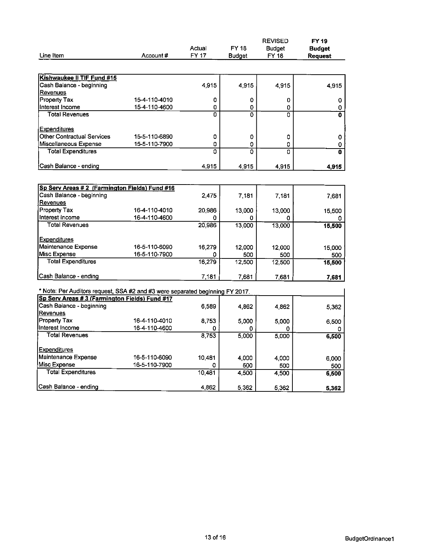|                                                                                                                                |               |                           |               | <b>REVISED</b> | FY 19                   |
|--------------------------------------------------------------------------------------------------------------------------------|---------------|---------------------------|---------------|----------------|-------------------------|
|                                                                                                                                |               | Actual                    | FY 18         | Budget         | <b>Budget</b>           |
| Line Item                                                                                                                      | Account#      | <b>FY 17</b>              | <b>Budget</b> | <b>FY 18</b>   | <b>Request</b>          |
|                                                                                                                                |               |                           |               |                |                         |
| Kishwaukee II TIF Fund #15                                                                                                     |               |                           |               |                |                         |
| Cash Balance - beginning                                                                                                       |               | 4,915                     | 4,915         | 4915           | 4,915                   |
| Revenues                                                                                                                       |               |                           |               |                |                         |
| Property Tax                                                                                                                   | 15-4-110-4010 | 0                         | 0             | 0              | 0                       |
| Interest Income                                                                                                                | 15-4-110-4600 | 0                         | 0             | 0              | 0                       |
| <b>Total Revenues</b>                                                                                                          |               | $\overline{\mathfrak{o}}$ | 0             | $\overline{0}$ | $\overline{\mathbf{0}}$ |
|                                                                                                                                |               |                           |               |                |                         |
| <b>Expenditures</b>                                                                                                            |               |                           |               |                |                         |
| <b>Other Contractual Services</b>                                                                                              | 15-5-110-6890 | 0                         | 0             | 0              | 0                       |
| Miscellaneous Expense                                                                                                          | 15-5-110-7900 | 0                         | 0             | 0              | 0                       |
| <b>Total Expenditures</b>                                                                                                      |               | n                         | 0             | n              | 0                       |
|                                                                                                                                |               |                           |               |                |                         |
| Cash Balance - ending                                                                                                          |               | 4,915                     | 4,915         | 4.915          | 4,915                   |
|                                                                                                                                |               |                           |               |                |                         |
| Sp Serv Areas #2 (Farmington Fields) Fund #16                                                                                  |               |                           |               |                |                         |
| Cash Balance - beginning                                                                                                       |               | 2.475                     | 7,181         | 7 181          | 7,681                   |
| Revenues                                                                                                                       |               |                           |               |                |                         |
| Property Tax                                                                                                                   | 16-4-110-4010 | 20,986                    | 13,000        | 13,000         | 15,500                  |
| Interest income                                                                                                                | 16-4-110-4600 | 0                         | 0             |                |                         |
| <b>Total Revenues</b>                                                                                                          |               | 20,986                    | 13,000        | 13,000         | 15,500                  |
|                                                                                                                                |               |                           |               |                |                         |
| <b>Expenditures</b>                                                                                                            |               |                           |               |                |                         |
| Maintenance Expense                                                                                                            | 16-5-110-6090 | 16,279                    | 12,000        | 12,000         | 15,000                  |
| Misc Expense                                                                                                                   | 16-5-110-7900 | 0                         | 500           | 500            | 500                     |
| <b>Total Expenditures</b>                                                                                                      |               | 16,279                    | 12,500        | 12,500         | 15,500                  |
|                                                                                                                                |               |                           |               |                |                         |
| Cash Balance - ending                                                                                                          |               | 7,181                     | 7,681         | 7681           | 7,681                   |
|                                                                                                                                |               |                           |               |                |                         |
| * Note: Per Auditors request, SSA #2 and #3 were separated beginning FY 2017.<br>Sp Serv Areas #3 (Farmington Fields) Fund #17 |               |                           |               |                |                         |
| Cash Balance - beginning                                                                                                       |               | 6,589                     |               |                |                         |
| Revenues                                                                                                                       |               |                           | 4.862         | 4862           | 5,362                   |
| Property Tax                                                                                                                   | 16-4-110-4010 | 8,753                     | 5.000         | 5,000          | 6,500                   |
| Interest Income                                                                                                                | 16-4-110-4600 | 0                         | 0             | 0              |                         |
| <b>Total Revenues</b>                                                                                                          |               | 8,753                     | 5,000         | 5,000          | 6,500                   |
|                                                                                                                                |               |                           |               |                |                         |
| <b>Expenditures</b>                                                                                                            |               |                           |               |                |                         |
| Maintenance Expense                                                                                                            | 16-5-110-6090 | 10.481                    | 4,000         | 4.000          | 6,000                   |
| Misc Expense                                                                                                                   | 16-5-110-7900 | o                         | 500           | 500            | 500                     |
| <b>Total Expenditures</b>                                                                                                      |               | 10,481                    | 4,500         | 4.500          | 6,500                   |
|                                                                                                                                |               |                           |               |                |                         |
| Cash Balance - ending                                                                                                          |               | 4,862                     | 5.362         | 5.362          | 5,362                   |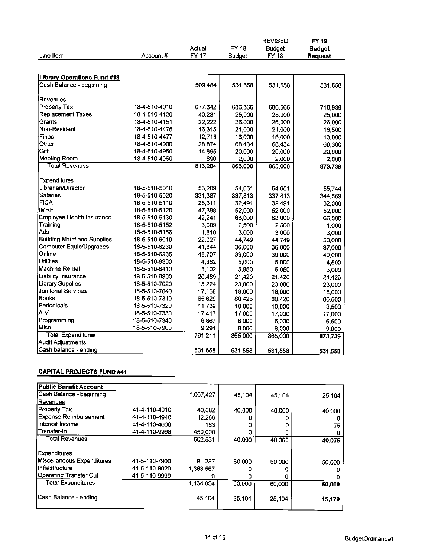|                                    |               |                        |               | <b>REVISED</b>               | FY 19          |
|------------------------------------|---------------|------------------------|---------------|------------------------------|----------------|
| Line Item                          | Account#      | Actual<br><b>FY 17</b> | FY 18         | <b>Budget</b><br><b>FY18</b> | <b>Budget</b>  |
|                                    |               |                        | <b>Budget</b> |                              | <b>Request</b> |
| <b>Library Operations Fund #18</b> |               |                        |               |                              |                |
| Cash Balance - beginning           |               | 509,484                | 531,558       | 531.558                      | 531,558        |
| Revenues                           |               |                        |               |                              |                |
| Property Tax                       | 18-4-510-4010 | 677,342                | 686,566       | 636,566                      | 710 939        |
| <b>Replacement Taxes</b>           | 18-4-510-4120 | 40,231                 | 25,000        | 25,000                       | 25,000         |
| Grants                             | 18-4-510-4151 | 22,222                 | 26,000        | 26,000                       | 26,000         |
| Non-Resident                       | 18-4-510-4475 | 16,315                 | 21,000        | 21,000                       | 16,500         |
| Fines                              | 18-4-510-4477 | 12,715                 | 16,000        | 16,000                       | 13,000         |
| Other                              | 18-4-510-4900 | 28.874                 | 68,434        | 68.434                       | 60,300         |
| Gift                               | 18-4-510-4950 | 14,895                 | 20,000        | 20,000                       | 20,000         |
| Meeting Room                       | 18-4-510-4960 | 690                    | 2,000         | 2,000                        | 2,000          |
| <b>Total Revenues</b>              |               | 813,284                | 865,000       | 865,000                      | 873,739        |
| <b>Expenditures</b>                |               |                        |               |                              |                |
| Librarian/Director                 | 18-5-510-5010 | 53,209                 | 54,651        | 54 651                       | 55 744         |
| <b>Salaries</b>                    | 18-5-510-5020 | 331,387                | 337,813       | 337,813                      | 344,569        |
| <b>FICA</b>                        | 18-5-510-5110 | 28,311                 | 32.491        | 32.491                       | 32,000         |
| <b>IMRF</b>                        | 18-5-510-5120 | 47,398                 | 52,000        | 52,000                       | 52,000         |
| Employee Health Insurance          | 18-5-510-5130 | 42,241                 | 68,000        | 68,000                       | 66,000         |
| Training                           | 18-5-510-5152 | 3,009                  | 2,500         | 2.500                        | 1,000          |
| Ads                                | 18-5-510-5156 | 1,810                  | 3,000         | 3,000                        | 3,000          |
| <b>Building Maint and Supplies</b> | 18-5-510-6010 | 22,027                 | 44,749        | 44,749                       | 50,000         |
| Computer Equip/Upgrades            | 18-5-510-6230 | 41.844                 | 36,000        | 36,000                       | 37,000         |
| Online                             | 18-5-510-6235 | 48,707                 | 39,000        | 39,000                       | 40,000         |
| <b>Utilities</b>                   | 18-5-510-6300 | 4,362                  | 5,000         | 5.000                        | 4 500          |
| Machine Rental                     | 18-5-510-6410 | 3,102                  | 5,950         | 5.950                        | 3,000          |
| Liability Insurance                | 18-5-510-6800 | 20,469                 | 21,420        | 21,420                       | 21,426         |
| <b>Library Supplies</b>            | 18-5-510-7020 | 15,224                 | 23,000        | 23,000                       | 23,000         |
| <b>Janitorial Services</b>         | 18-5-510-7040 | 17,168                 | 18,000        | 18,000                       | 18,000         |
| <b>Books</b>                       | 18-5-510-7310 | 65,629                 | 80.426        | 80.426                       | 80,500         |
| Periodicals                        | 18-5-510-7320 | 11,739                 | 10,000        | 10,000                       | 9,500          |
| A-V                                | 18-5-510-7330 | 17,417                 | 17,000        | 17,000                       | 17,000         |
| Programming                        | 18-5-510-7340 | 6,867                  | 6,000         | 6,000                        | 6,500          |
| Misc.                              | 18-5-510-7900 | 9,291                  | 8,000         | 8,000                        | 9,000          |
| <b>Total Expenditures</b>          |               | 791,211                | 865,000       | 865,000                      | 873,739        |
| Audit Adjustments                  |               |                        |               |                              |                |
| Cash balance - ending              |               | 531,558                | 531 558       | 531,558                      | 531,558        |

### **CAPITAL PROJECTS FUND #41**

| <b>Public Benefit Account</b> |               |           |        |        |        |
|-------------------------------|---------------|-----------|--------|--------|--------|
| Cash Balance - beginning      |               | 1,007,427 | 45.104 | 45.104 | 25.104 |
| Revenues                      |               |           |        |        |        |
| Property Tax                  | 41-4-110-4010 | 40,082    | 40.000 | 40,000 | 40,000 |
| Expense Reimbursement         | 41-4-110-4940 | 12.266    |        |        |        |
| Interest Income               | 41-4-110-4600 | 183       | ο      |        | 75     |
| lTransfer-In                  | 41-4-110-9998 | 450,000   | 0      |        |        |
| Total Revenues                |               | 502,531   | 40,000 | 40,000 | 40,075 |
|                               |               |           |        |        |        |
| <b>Expenditures</b>           |               |           |        |        |        |
| Miscellaneous Expenditures    | 41-5-110-7900 | 81.287    | 60,000 | 60,000 | 50,000 |
| Infrastructure                | 41-5-110-8020 | 1,383,567 |        |        |        |
| <b>Operating Transfer Out</b> | 41-5-110-9999 |           |        |        |        |
| <b>Total Expenditures</b>     |               | 1,464,854 | 60,000 | 60,000 | 50,000 |
|                               |               |           |        |        |        |
| Cash Balance - ending         |               | 45,104    | 25 104 | 25,104 | 15,179 |
|                               |               |           |        |        |        |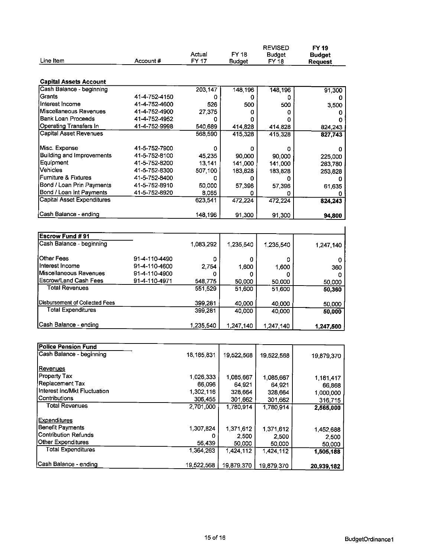|                                   |               |                 |                               | <b>REVISED</b>         | <b>FY19</b>    |
|-----------------------------------|---------------|-----------------|-------------------------------|------------------------|----------------|
| Line Item                         | Account#      | Actual<br>FY 17 | <b>FY 18</b><br><b>Budget</b> | <b>Budget</b><br>FY 18 | <b>Budget</b>  |
|                                   |               |                 |                               |                        | <b>Request</b> |
| <b>Capital Assets Account</b>     |               |                 |                               |                        |                |
| Cash Balance - beginning          |               | 203,147         | 148,196                       | 148,196                | 91,300         |
| Grants                            | 41-4-752-4150 | 0               | 0                             | o                      |                |
| Interest Income                   | 41-4-752-4600 | 526             | 500                           | 500                    | 3,500          |
| Miscellaneous Revenues            | 41-4-752-4900 | 27,375          | 0                             | 0                      | 0              |
| Bank Loan Proceeds                | 41-4-752-4952 | ٥               | o                             | 0                      | 0              |
| Operating Transfers In            | 41-4-752-9998 | 540,689         | 414,828                       | 414,828                | 824,243        |
| <b>Capital Asset Revenues</b>     |               | 568,590         | 415,328                       | 415,328                | 827,743        |
| Misc. Expense                     | 41-5-752-7900 | 0               | 0                             | ٥                      | 0              |
| <b>Building and Improvements</b>  | 41-5-752-8100 | 45,235          | 90,000                        | 90,000                 | 225,000        |
| Equipment                         | 41-5-752-8200 | 13,141          | 141,000                       | 141,000                | 283,780        |
| <b>Vehicles</b>                   | 41-5-752-8300 | 507,100         | 183,828                       | 183,828                | 253,828        |
| Furniture & Fixtures              | 41-5-752-8400 | 0               | 0                             | 0                      |                |
| Bond / Loan Prin Payments         | 41-5-752-8910 | 50,000          | 57,396                        | 57,396                 | 61,635         |
| Bond / Loan Int Payments          | 41-5-752-8920 | 8,065           | 0                             | 0                      |                |
| <b>Capital Asset Expenditures</b> |               | 623,541         | 472,224                       | 472.224                | 824,243        |
| Cash Balance - ending             |               | 148,196         | 91,300                        | 91,300                 | 94,800         |
|                                   |               |                 |                               |                        |                |
| <b>Escrow Fund #91</b>            |               |                 |                               |                        |                |
| Cash Balance - beginning          |               | 1,083,292       | 1,235,540                     | 1,235,540              | 1,247,140      |
| <b>Other Fees</b>                 | 91-4-110-4490 | 0               | 0                             | 0                      | 0              |
| Interest Income                   | 91-4-110-4600 | 2,754           | 1,600                         | 1,600                  | 360            |
| Miscellaneous Revenues            | 91-4-110-4900 | 0               | 0                             | 0                      | 0              |
| <b>Escrow/Land Cash Fees</b>      | 91-4-110-4971 | 548,775         | 50,000                        | 50,000                 | 50,000         |
| <b>Total Revenues</b>             |               | 551,529         | 51,600                        | 51,600                 | 50,360         |
| Disbursement of Collected Fees    |               | 399,281         | 40,000                        | 40,000                 | 50,000         |
| <b>Total Expenditures</b>         |               | 399,281         | 40,000                        | 40,000                 | 50,000         |
| Cash Balance - ending             |               | 1,235,540       | 1,247,140                     | 1,247,140              | 1,247,500      |
|                                   |               |                 |                               |                        |                |
| <b>Police Pension Fund</b>        |               |                 |                               |                        |                |
| Cash Balance - beginning          |               | 18,185,831      | 19,522,568                    | 19,522,568             | 19,879,370     |
| Revenues                          |               |                 |                               |                        |                |
| Property Tax                      |               | 1,026,333       | 1,085,667                     | 1,085,667              | 1,181,417      |
| Replacement Tax                   |               | 66,096          | 64 921                        | 64 921                 | 66,868         |
| Interest Inc/Mkt Fluctuation      |               | 1,302,116       | 328,664                       | 328,664                | 1,000,000      |
| Contributions                     |               | 306,455         | 301,662                       | 301,662                | 316,715        |
| <b>Total Revenues</b>             |               | 2,701,000       | 1,780,914                     | 1,780,914              | 2,565,000      |
| Expenditures                      |               |                 |                               |                        |                |
| <b>Benefit Payments</b>           |               | 1,307,824       | 1,371,612                     | 1 371,612              | 1,452 688      |
| <b>Contribution Refunds</b>       |               | 0               | 2,500                         | 2,500                  | 2,500          |
| Other Expenditures                |               | 56,439          | 50,000                        | 50,000                 | 50,000         |
| <b>Total Expenditures</b>         |               | 1,364,263       | 1,424,112                     | 1,424,112              | 1,505,188      |
| Cash Balance - ending             |               | 19,522,568      | 19,879,370                    | 19.879,370             | 20,939,182     |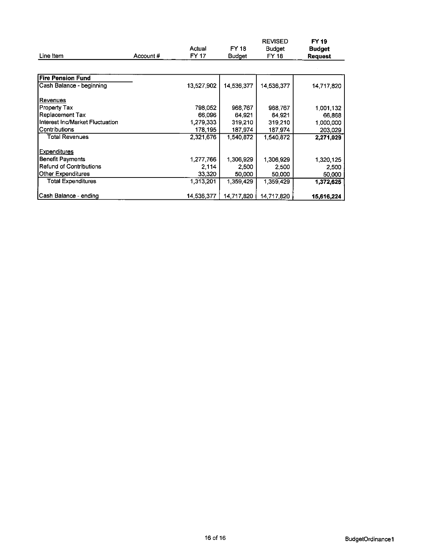|                                 |          | Actual     | FY 18         | <b>REVISED</b><br><b>Budget</b> | FY 19<br>Budget |
|---------------------------------|----------|------------|---------------|---------------------------------|-----------------|
| Line Item                       | Account# | FY 17      | <b>Budget</b> | FY 18                           | <b>Request</b>  |
|                                 |          |            |               |                                 |                 |
| lFire Pension Fund              |          |            |               |                                 |                 |
| Cash Balance - beginning        |          | 13,527,902 | 14,536,377    | 14,536,377                      | 14,717,820      |
| Revenues                        |          |            |               |                                 |                 |
| Property Tax                    |          | 798,052    | 968,767       | 968,767                         | 1,001,132       |
| Replacement Tax                 |          | 66,096     | 64,921        | 64.921                          | 66,868          |
| Interest Inc/Market Fluctuation |          | 1,279,333  | 319,210       | 319.210                         | 1,000,000       |
| Contributions                   |          | 178,195    | 187,974       | 187 974                         | 203,029         |
| Total Revenues                  |          | 2,321,676  | 1,540,872     | 1,540,872                       | 2,271,029       |
| Expenditures                    |          |            |               |                                 |                 |
| <b>Benefit Payments</b>         |          | 1,277,766  | 1,306,929     | 1,306,929                       | 1,320,125       |
| Refund of Contributions         |          | 2,114      | 2,500         | 2.500                           | 2,500           |
| Other Expenditures              |          | 33,320     | 50,000        | 50.000                          | 50,000          |
| <b>Total Expenditures</b>       |          | 1,313,201  | 1,359,429     | 1,359,429                       | 1,372,625       |
| Cash Balance - ending           |          | 14,536,377 | 14,717,820    | 14,717.820                      | 15,616,224      |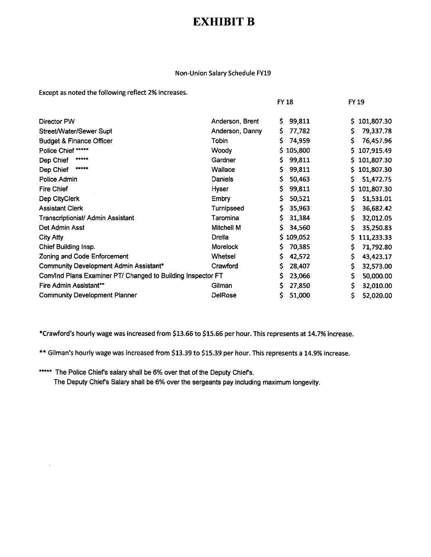# EXHIBIT B

#### Non-Union Salary Schedule FY19

Except as noted the following reflect 2% increases.

|                                                             |                 | <b>FY 18</b> | FY 19             |
|-------------------------------------------------------------|-----------------|--------------|-------------------|
| Director PW                                                 | Anderson, Brent | 99,811<br>Ş. | 101,807.30<br>\$. |
| Street/Water/Sewer Supt                                     | Anderson, Danny | s<br>77,782  | \$<br>79,337.78   |
| <b>Budget &amp; Finance Officer</b>                         | Tobin           | 74,959<br>s  | \$<br>76,457.96   |
| Police Chief *****                                          | Woody           | \$105,800    | \$.<br>107,915.49 |
| *****<br>Dep Chief                                          | Gardner         | 99,811<br>S. | S.<br>101,807.30  |
| *****<br>Dep Chief                                          | Wallace         | \$<br>99,811 | 101,807.30<br>S.  |
| Police Admin                                                | Daniels         | 50,463<br>\$ | \$.<br>51,472.75  |
| <b>Fire Chief</b>                                           | Hyser           | \$<br>99,811 | \$.<br>101,807.30 |
| Dep CityClerk                                               | Embry           | Ś.<br>50,521 | \$<br>51,531.01   |
| <b>Assistant Clerk</b>                                      | Turnipseed      | S.<br>35,963 | \$.<br>36,682.42  |
| Transcriptionist/ Admin Assistant                           | Taromina        | S<br>31,384  | \$<br>32,012.05   |
| Det Admin Asst                                              | Mitchell M      | S.<br>34,560 | \$<br>35,250.83   |
| City Atty                                                   | Drella          | \$109,052    | Ś.<br>111,233.33  |
| Chief Building Insp.                                        | Morelock        | S.<br>70,385 | \$<br>71,792.80   |
| Zoning and Code Enforcement                                 | Whetsel         | 42,572<br>S. | \$<br>43,423.17   |
| Community Development Admin Assistant*                      | Crawford        | S.<br>28,407 | \$<br>32,573.00   |
| Com/Ind Plans Examiner PT/ Changed to Building Inspector FT |                 | 23,066       | \$<br>50,000.00   |
| Fire Admin Assistant**                                      | Gilman          | 27,850<br>S. | \$<br>32,010.00   |
| <b>Community Development Planner</b>                        | DelRose         | \$<br>51,000 | \$<br>52,020.00   |

\*Crawford's hourly wage was increased from \$13.66 to \$15.66 per hour. This represents at 14.7% increase.

\*\* Gilman's hourly wage was increased from \$13.39 to \$15.39 per hour. This represents a 14.9% increase.

\*\*\*\*\* The Police Chief's salary shall be 6% over that of the Deputy Chief's.

The Deputy Chiefs Salary shall be 6% over the sergeants pay including maximum longevity.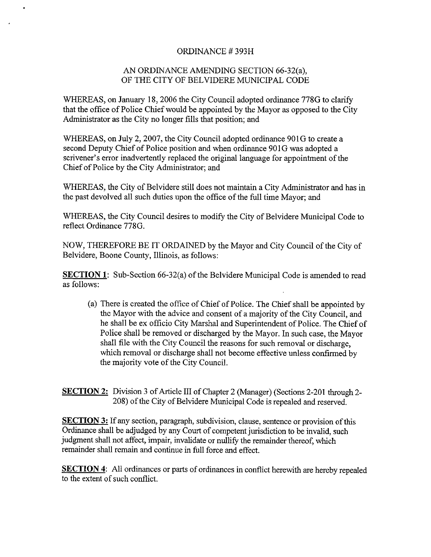## ORDINANCE# 393H

### AN ORDINANCE AMENDING SECTION 66-32(a), OF THE CITY OF BELVIDERE MUNICIPAL CODE

WHEREAS, on January 18, 2006 the City Council adopted ordinance 778G to clarify that the office of Police Chief would be appointed by the Mayor as opposed to the City Administrator as the City no longer fills that position; and

WHEREAS, on July 2, 2007, the City Council adopted ordinance 901G to create a second Deputy Chief of Police position and when ordinance 901G was adopted a scrivener's error inadvertently replaced the original language for appointment of the Chief of Police by the City Administrator; and

WHEREAS, the City of Belvidere still does not maintain a City Administrator and has in the past devolved all such duties upon the office of the full time Mayor; and

WHEREAS, the City Council desires to modify the City of Belvidere Municipal Code to reflect Ordinance 778G.

NOW, THEREFORE BE IT ORDAINED by the Mayor and City Council of the City of Belvidere, Boone County, Illinois, as follows:

SECTION 1: Sub-Section 66-32(a) of the Belvidere Municipal Code is amended to read as follows:

a) There is created the office of Chief of Police. The Chief shall be appointed by the Mayor with the advice and consent of a majority of the City Council, and he shall be ex officio City Marshal and Superintendent of Police. The Chief of Police shall be removed or discharged by the Mayor. In such case, the Mayor shall file with the City Council the reasons for such removal or discharge, which removal or discharge shall not become effective unless confirmed by the majority vote of the City Council.

SECTION 2: Division 3 of Article III of Chapter 2 (Manager) (Sections 2-201 through 2-208) of the City of Belvidere Municipal Code is repealed and reserved.

SECTION 3: If any section, paragraph, subdivision, clause, sentence or provision of this Ordinance shall be adjudged by any Court of competent jurisdiction to be invalid, such judgment shall not affect, impair, invalidate or nullify the remainder thereof, which remainder shall remain and continue in full force and effect.

SECTION 4: All ordinances or parts of ordinances in conflict herewith are hereby repealed to the extent of such conflict.